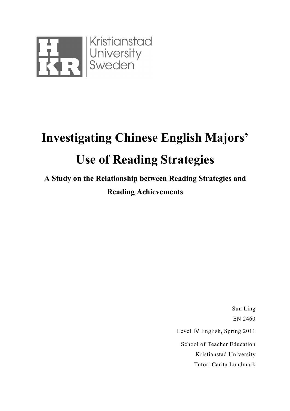

# **Investigating Chinese English Majors' Use of Reading Strategies**

**A Study on the Relationship between Reading Strategies and Reading Achievements** 

> Sun Ling EN 2460 Level IV English, Spring 2011 School of Teacher Education Kristianstad University Tutor: Carita Lundmark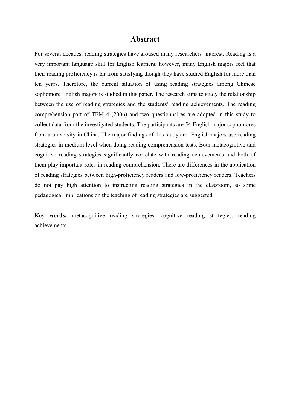## **Abstract**

For several decades, reading strategies have aroused many researchers' interest. Reading is a very important language skill for English learners; however, many English majors feel that their reading proficiency is far from satisfying though they have studied English for more than ten years. Therefore, the current situation of using reading strategies among Chinese sophomore English majors is studied in this paper. The research aims to study the relationship between the use of reading strategies and the students' reading achievements. The reading comprehension part of TEM 4 (2006) and two questionnaires are adopted in this study to collect data from the investigated students. The participants are 54 English major sophomores from a university in China. The major findings of this study are: English majors use reading strategies in medium level when doing reading comprehension tests. Both metacognitive and cognitive reading strategies significantly correlate with reading achievements and both of them play important roles in reading comprehension. There are differences in the application of reading strategies between high-proficiency readers and low-proficiency readers. Teachers do not pay high attention to instructing reading strategies in the classroom, so some pedagogical implications on the teaching of reading strategies are suggested.

**Key words:** metacognitive reading strategies; cognitive reading strategies; reading achievements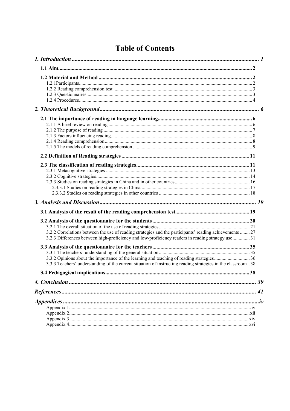| 3.2.2 Correlations between the use of reading strategies and the participants' reading achievements  27<br>3.2.3 Differences between high-proficiency and low-proficiency readers in reading strategy use  31 |    |
|---------------------------------------------------------------------------------------------------------------------------------------------------------------------------------------------------------------|----|
| 3.3.3 Teachers' understanding of the current situation of instructing reading strategies in the classroom38                                                                                                   |    |
|                                                                                                                                                                                                               | 38 |
|                                                                                                                                                                                                               | 39 |
|                                                                                                                                                                                                               |    |
|                                                                                                                                                                                                               |    |

## **Table of Contents**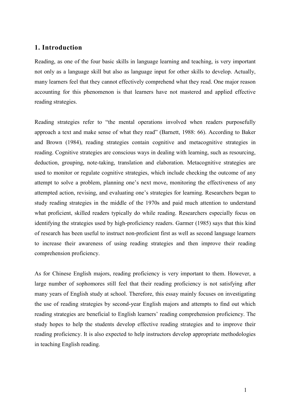## <span id="page-3-0"></span>**1. Introduction**

Reading, as one of the four basic skills in language learning and teaching, is very important not only as a language skill but also as language input for other skills to develop. Actually, many learners feel that they cannot effectively comprehend what they read. One major reason accounting for this phenomenon is that learners have not mastered and applied effective reading strategies.

Reading strategies refer to "the mental operations involved when readers purposefully approach a text and make sense of what they read" (Barnett, 1988: 66). According to Baker and Brown (1984), reading strategies contain cognitive and metacognitive strategies in reading. Cognitive strategies are conscious ways in dealing with learning, such as resourcing, deduction, grouping, note-taking, translation and elaboration. Metacognitive strategies are used to monitor or regulate cognitive strategies, which include checking the outcome of any attempt to solve a problem, planning one's next move, monitoring the effectiveness of any attempted action, revising, and evaluating one's strategies for learning. Researchers began to study reading strategies in the middle of the 1970s and paid much attention to understand what proficient, skilled readers typically do while reading. Researchers especially focus on identifying the strategies used by high-proficiency readers. Garmer (1985) says that this kind of research has been useful to instruct non-proficient first as well as second language learners to increase their awareness of using reading strategies and then improve their reading comprehension proficiency.

As for Chinese English majors, reading proficiency is very important to them. However, a large number of sophomores still feel that their reading proficiency is not satisfying after many years of English study at school. Therefore, this essay mainly focuses on investigating the use of reading strategies by second-year English majors and attempts to find out which reading strategies are beneficial to English learners' reading comprehension proficiency. The study hopes to help the students develop effective reading strategies and to improve their reading proficiency. It is also expected to help instructors develop appropriate methodologies in teaching English reading.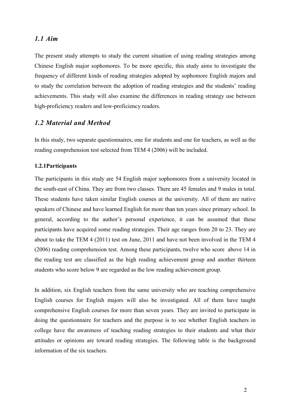## <span id="page-4-0"></span>*1.1 Aim*

The present study attempts to study the current situation of using reading strategies among Chinese English major sophomores. To be more specific, this study aims to investigate the frequency of different kinds of reading strategies adopted by sophomore English majors and to study the correlation between the adoption of reading strategies and the students' reading achievements. This study will also examine the differences in reading strategy use between high-proficiency readers and low-proficiency readers.

## *1.2 Material and Method*

In this study, two separate questionnaires, one for students and one for teachers, as well as the reading comprehension test selected from TEM 4 (2006) will be included.

#### **1.2.1Participants**

The participants in this study are 54 English major sophomores from a university located in the south-east of China. They are from two classes. There are 45 females and 9 males in total. These students have taken similar English courses at the university. All of them are native speakers of Chinese and have learned English for more than ten years since primary school. In general, according to the author's personal experience, it can be assumed that these participants have acquired some reading strategies. Their age ranges from 20 to 23. They are about to take the TEM 4 (2011) test on June, 2011 and have not been involved in the TEM 4 (2006) reading comprehension test. Among these participants, twelve who score above 14 in the reading test are classified as the high reading achievement group and another thirteen students who score below 9 are regarded as the low reading achievement group.

In addition, six English teachers from the same university who are teaching comprehensive English courses for English majors will also be investigated. All of them have taught comprehensive English courses for more than seven years. They are invited to participate in doing the questionnaire for teachers and the purpose is to see whether English teachers in college have the awareness of teaching reading strategies to their students and what their attitudes or opinions are toward reading strategies. The following table is the background information of the six teachers.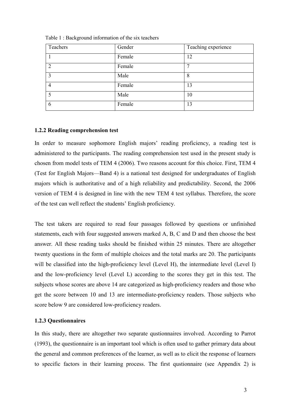| Teachers       | Gender | Teaching experience |
|----------------|--------|---------------------|
|                | Female | 12                  |
| $\overline{2}$ | Female |                     |
| 3              | Male   | 8                   |
| 4              | Female | 13                  |
|                | Male   | 10                  |
| 6              | Female | 13                  |

<span id="page-5-0"></span>Table 1 : Background information of the six teachers

## **1.2.2 Reading comprehension test**

In order to measure sophomore English majors' reading proficiency, a reading test is administered to the participants. The reading comprehension test used in the present study is chosen from model tests of TEM 4 (2006). Two reasons account for this choice. First, TEM 4 (Test for English Majors—Band 4) is a national test designed for undergraduates of English majors which is authoritative and of a high reliability and predictability. Second, the 2006 version of TEM 4 is designed in line with the new TEM 4 test syllabus. Therefore, the score of the test can well reflect the students' English proficiency.

The test takers are required to read four passages followed by questions or unfinished statements, each with four suggested answers marked A, B, C and D and then choose the best answer. All these reading tasks should be finished within 25 minutes. There are altogether twenty questions in the form of multiple choices and the total marks are 20. The participants will be classified into the high-proficiency level (Level H), the intermediate level (Level I) and the low-proficiency level (Level L) according to the scores they get in this test. The subjects whose scores are above 14 are categorized as high-proficiency readers and those who get the score between 10 and 13 are intermediate-proficiency readers. Those subjects who score below 9 are considered low-proficiency readers.

## **1.2.3 Questionnaires**

In this study, there are altogether two separate qustionnaires involved. According to Parrot (1993), the questionnaire is an important tool which is often used to gather primary data about the general and common preferences of the learner, as well as to elicit the response of learners to specific factors in their learning process. The first qustionnaire (see Appendix 2) is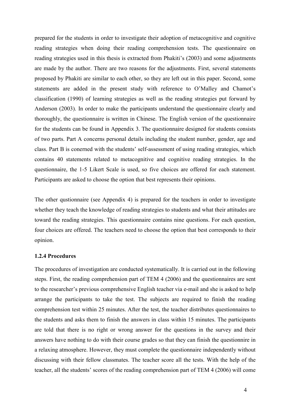<span id="page-6-0"></span>prepared for the students in order to investigate their adoption of metacognitive and cognitive reading strategies when doing their reading comprehension tests. The questionnaire on reading strategies used in this thesis is extracted from Phakiti's (2003) and some adjustments are made by the author. There are two reasons for the adjustments. First, several statements proposed by Phakiti are similar to each other, so they are left out in this paper. Second, some statements are added in the present study with reference to O'Malley and Chamot's classification (1990) of learning strategies as well as the reading strategies put forward by Anderson (2003). In order to make the participants understand the questionnaire clearly and thoroughly, the questionnaire is written in Chinese. The English version of the questionnaire for the students can be found in Appendix 3. The questionnaire designed for students consists of two parts. Part A concerns personal details including the student number, gender, age and class. Part B is conerned with the students' self-assessment of using reading strategies, which contains 40 statements related to metacognitive and cognitive reading strategies. In the questionnaire, the 1-5 Likert Scale is used, so five choices are offered for each statement. Participants are asked to choose the option that best represents their opinions.

The other qustionnaire (see Appendix 4) is prepared for the teachers in order to investigate whether they teach the knowledge of reading strategies to students and what their attitudes are toward the reading strategies. This questionnaire contains nine questions. For each question, four choices are offered. The teachers need to choose the option that best corresponds to their opinion.

#### **1.2.4 Procedures**

The procedures of investigation are conducted systematically. It is carried out in the following steps. First, the reading comprehension part of TEM 4 (2006) and the questionnaires are sent to the researcher's previous comprehensive English teacher via e-mail and she is asked to help arrange the participants to take the test. The subjects are required to finish the reading comprehension test within 25 minutes. After the test, the teacher distributes questionnaires to the students and asks them to finish the answers in class within 15 minutes. The participants are told that there is no right or wrong answer for the questions in the survey and their answers have nothing to do with their course grades so that they can finish the questionnire in a relaxing atmosphere. However, they must complete the questionnaire independently without discussing with their fellow classmates. The teacher score all the tests. With the help of the teacher, all the students' scores of the reading comprehension part of TEM 4 (2006) will come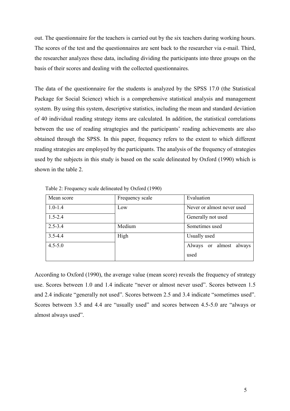out. The questionnaire for the teachers is carried out by the six teachers during working hours. The scores of the test and the questionnaires are sent back to the researcher via e-mail. Third, the researcher analyzes these data, including dividing the participants into three groups on the basis of their scores and dealing with the collected questionnaires.

The data of the questionnaire for the students is analyzed by the SPSS 17.0 (the Statistical Package for Social Science) which is a comprehensive statistical analysis and management system. By using this system, descriptive statistics, including the mean and standard deviation of 40 individual reading strategy items are calculated. In addition, the statistical correlations between the use of reading stragtegies and the participants' reading achievements are also obtained through the SPSS. In this paper, frequency refers to the extent to which different reading strategies are employed by the participants. The analysis of the frequency of strategies used by the subjects in this study is based on the scale delineated by Oxford (1990) which is shown in the table 2.

| Mean score  | Frequency scale | Evaluation                    |  |
|-------------|-----------------|-------------------------------|--|
| $1.0 - 1.4$ | Low             | Never or almost never used    |  |
| $1.5 - 2.4$ |                 | Generally not used            |  |
| $2.5 - 3.4$ | Medium          | Sometimes used                |  |
| $3.5 - 4.4$ | High            | Usually used                  |  |
| $4.5 - 5.0$ |                 | or almost<br>always<br>Always |  |
|             |                 | used                          |  |

Table 2: Frequency scale delineated by Oxford (1990)

According to Oxford (1990), the average value (mean score) reveals the frequency of strategy use. Scores between 1.0 and 1.4 indicate "never or almost never used". Scores between 1.5 and 2.4 indicate "generally not used". Scores between 2.5 and 3.4 indicate "sometimes used". Scores between 3.5 and 4.4 are "usually used" and scores between 4.5-5.0 are "always or almost always used".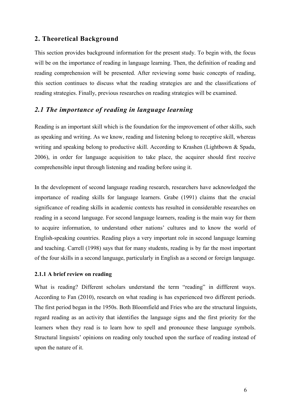## <span id="page-8-0"></span>**2. Theoretical Background**

This section provides background information for the present study. To begin with, the focus will be on the importance of reading in language learning. Then, the definition of reading and reading comprehension will be presented. After reviewing some basic concepts of reading, this section continues to discuss what the reading strategies are and the classifications of reading strategies. Finally, previous researches on reading strategies will be examined.

## *2.1 The importance of reading in language learning*

Reading is an important skill which is the foundation for the improvement of other skills, such as speaking and writing. As we know, reading and listening belong to receptive skill, whereas writing and speaking belong to productive skill. According to Krashen (Lightbown & Spada, 2006), in order for language acquisition to take place, the acquirer should first receive comprehensible input through listening and reading before using it.

In the development of second language reading research, researchers have acknowledged the importance of reading skills for language learners. Grabe (1991) claims that the crucial significance of reading skills in academic contexts has resulted in considerable researches on reading in a second language. For second language learners, reading is the main way for them to acquire information, to understand other nations' cultures and to know the world of English-speaking countries. Reading plays a very important role in second language learning and teaching. Carrell (1998) says that for many students, reading is by far the most important of the four skills in a second language, particularly in English as a second or foreign language.

## **2.1.1 A brief review on reading**

What is reading? Different scholars understand the term "reading" in different ways. According to Fan (2010), research on what reading is has experienced two different periods. The first period began in the 1950s. Both Bloomfield and Fries who are the structural linguists, regard reading as an activity that identifies the language signs and the first priority for the learners when they read is to learn how to spell and pronounce these language symbols. Structural linguists' opinions on reading only touched upon the surface of reading instead of upon the nature of it.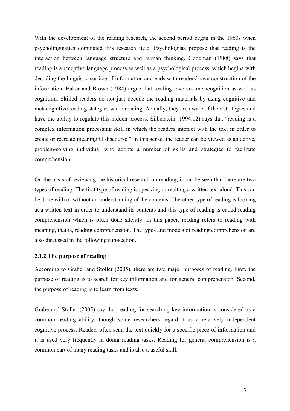<span id="page-9-0"></span>With the development of the reading research, the second period began in the 1960s when psycholinguistics dominated this research field. Psychologists propose that reading is the interaction between language structure and human thinking. Goodman (1988) says that reading is a receptive language process as well as a psychological process, which begins with decoding the linguistic surface of information and ends with readers' own construction of the information. Baker and Brown (1984) argue that reading involves metacognition as well as cognition. Skilled readers do not just decode the reading materials by using cognitive and metacognitive reading stategies while reading. Actually, they are aware of their strategies and have the ability to regulate this hidden process. Silberstein (1994:12) says that "reading is a complex information processing skill in which the readers interact with the text in order to create or recreate meaningful discourse." In this sense, the reader can be viewed as an active, problem-solving individual who adopts a number of skills and strategies to facilitate comprehension.

On the basis of reviewing the historical research on reading, it can be seen that there are two types of reading. The first type of reading is speaking or reciting a written text aloud. This can be done with or without an understanding of the contents. The other type of reading is looking at a written text in order to understand its contents and this type of reading is called reading comprehension which is often done silently. In this paper, reading refers to reading with meaning, that is, reading comprehension. The types and models of reading comprehension are also discussed in the following sub-section.

## **2.1.2 The purpose of reading**

According to Grabe and Stoller (2005), there are two major purposes of reading. First, the purpose of reading is to search for key information and for general comprehension. Second, the purpose of reading is to learn from texts.

Grabe and Stoller (2005) say that reading for searching key information is considered as a common reading ability, though some researchers regard it as a relatively independent cognitive process. Readers often scan the text quickly for a specific piece of information and it is used very frequently in doing reading tasks. Reading for general comprehension is a common part of many reading tasks and is also a useful skill.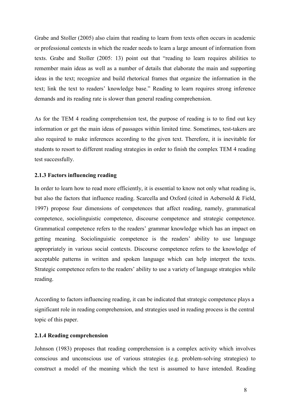<span id="page-10-0"></span>Grabe and Stoller (2005) also claim that reading to learn from texts often occurs in academic or professional contexts in which the reader needs to learn a large amount of information from texts. Grabe and Stoller (2005: 13) point out that "reading to learn requires abilities to remember main ideas as well as a number of details that elaborate the main and supporting ideas in the text; recognize and build rhetorical frames that organize the information in the text; link the text to readers' knowledge base." Reading to learn requires strong inference demands and its reading rate is slower than general reading comprehension.

As for the TEM 4 reading comprehension test, the purpose of reading is to to find out key information or get the main ideas of passages within limited time. Sometimes, test-takers are also required to make inferences according to the given text. Therefore, it is inevitable for students to resort to different reading strategies in order to finish the complex TEM 4 reading test successfully.

## **2.1.3 Factors influencing reading**

In order to learn how to read more efficiently, it is essential to know not only what reading is, but also the factors that influence reading. Scarcella and Oxford (cited in Aebersold & Field, 1997) propose four dimensions of competences that affect reading, namely, grammatical competence, sociolinguistic competence, discourse competence and strategic competence. Grammatical competence refers to the readers' grammar knowledge which has an impact on getting meaning. Sociolinguistic competence is the readers' ability to use language appropriately in various social contexts. Discourse competence refers to the knowledge of acceptable patterns in written and spoken language which can help interpret the texts. Strategic competence refers to the readers' ability to use a variety of language strategies while reading.

According to factors influencing reading, it can be indicated that strategic competence plays a significant role in reading comprehension, and strategies used in reading process is the central topic of this paper.

## **2.1.4 Reading comprehension**

Johnson (1983) proposes that reading comprehension is a complex activity which involves conscious and unconscious use of various strategies (e.g. problem-solving strategies) to construct a model of the meaning which the text is assumed to have intended. Reading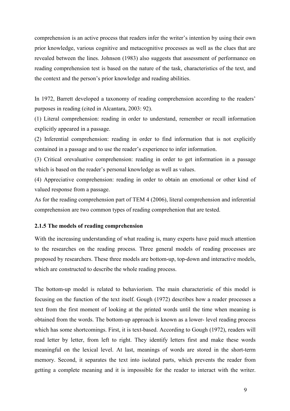<span id="page-11-0"></span>comprehension is an active process that readers infer the writer's intention by using their own prior knowledge, various cognitive and metacognitive processes as well as the clues that are revealed between the lines. Johnson (1983) also suggests that assessment of performance on reading comprehension test is based on the nature of the task, characteristics of the text, and the context and the person's prior knowledge and reading abilities.

In 1972, Barrett developed a taxonomy of reading comprehension according to the readers' purposes in reading (cited in Alcantara, 2003: 92).

(1) Literal comprehension: reading in order to understand, remember or recall information explicitly appeared in a passage.

(2) Inferential comprehension: reading in order to find information that is not explicitly contained in a passage and to use the reader's experience to infer information.

(3) Critical orevaluative comprehension: reading in order to get information in a passage which is based on the reader's personal knowledge as well as values.

(4) Appreciative comprehension: reading in order to obtain an emotional or other kind of valued response from a passage.

As for the reading comprehension part of TEM 4 (2006), literal comprehension and inferential comprehension are two common types of reading comprehenion that are tested.

#### **2.1.5 The models of reading comprehension**

With the increasing understanding of what reading is, many experts have paid much attention to the researches on the reading process. Three general models of reading processes are proposed by researchers. These three models are bottom-up, top-down and interactive models, which are constructed to describe the whole reading process.

The bottom-up model is related to behaviorism. The main characteristic of this model is focusing on the function of the text itself. Gough (1972) describes how a reader processes a text from the first moment of looking at the printed words until the time when meaning is obtained from the words. The bottom-up approach is known as a lower- level reading process which has some shortcomings. First, it is text-based. According to Gough (1972), readers will read letter by letter, from left to right. They identify letters first and make these words meaningful on the lexical level. At last, meanings of words are stored in the short-term memory. Second, it separates the text into isolated parts, which prevents the reader from getting a complete meaning and it is impossible for the reader to interact with the writer.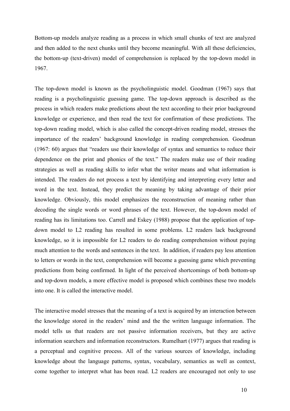Bottom-up models analyze reading as a process in which small chunks of text are analyzed and then added to the next chunks until they become meaningful. With all these deficiencies, the bottom-up (text-driven) model of comprehension is replaced by the top-down model in 1967.

The top-down model is known as the psycholinguistic model. Goodman (1967) says that reading is a psycholinguistic guessing game. The top-down approach is described as the process in which readers make predictions about the text according to their prior background knowledge or experience, and then read the text for confirmation of these predictions. The top-down reading model, which is also called the concept-driven reading model, stresses the importance of the readers' background knowledge in reading comprehension. Goodman (1967: 60) argues that "readers use their knowledge of syntax and semantics to reduce their dependence on the print and phonics of the text." The readers make use of their reading strategies as well as reading skills to infer what the writer means and what information is intended. The readers do not process a text by identifying and interpreting every letter and word in the text. Instead, they predict the meaning by taking advantage of their prior knowledge. Obviously, this model emphasizes the reconstruction of meaning rather than decoding the single words or word phrases of the text. However, the top-down model of reading has its limitations too. Carrell and Eskey (1988) propose that the application of topdown model to L2 reading has resulted in some problems. L2 readers lack background knowledge, so it is impossible for L2 readers to do reading comprehension without paying much attention to the words and sentences in the text. In addition, if readers pay less attention to letters or words in the text, comprehension will become a guessing game which preventing predictions from being confirmed. In light of the perceived shortcomings of both bottom-up and top-down models, a more effective model is proposed which combines these two models into one. It is called the interactive model.

The interactive model stresses that the meaning of a text is acquired by an interaction between the knowledge stored in the readers' mind and the the written language information. The model tells us that readers are not passive information receivers, but they are active information searchers and information reconstructors. Rumelhart (1977) argues that reading is a perceptual and cognitive process. All of the various sources of knowledge, including knowledge about the language patterns, syntax, vocabulary, semantics as well as context, come together to interpret what has been read. L2 readers are encouraged not only to use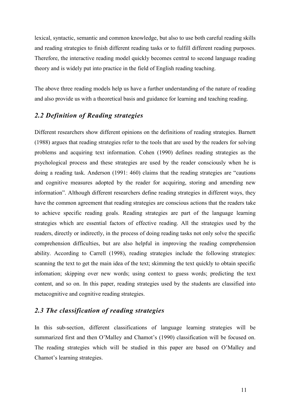<span id="page-13-0"></span>lexical, syntactic, semantic and common knowledge, but also to use both careful reading skills and reading strategies to finish different reading tasks or to fulfill different reading purposes. Therefore, the interactive reading model quickly becomes central to second language reading theory and is widely put into practice in the field of English reading teaching.

The above three reading models help us have a further understanding of the nature of reading and also provide us with a theoretical basis and guidance for learning and teaching reading.

## *2.2 Definition of Reading strategies*

Different researchers show different opinions on the definitions of reading strategies. Barnett (1988) argues that reading strategies refer to the tools that are used by the readers for solving problems and acquiring text information. Cohen (1990) defines reading strategies as the psychological process and these strategies are used by the reader consciously when he is doing a reading task. Anderson (1991: 460) claims that the reading strategies are "cautions and cognitive measures adopted by the reader for acquiring, storing and amending new information". Although different researchers define reading strategies in different ways, they have the common agreement that reading strategies are conscious actions that the readers take to achieve specific reading goals. Reading strategies are part of the language learning strategies which are essential factors of effective reading. All the strategies used by the readers, directly or indirectly, in the process of doing reading tasks not only solve the specific comprehension difficulties, but are also helpful in improving the reading comprehension ability. According to Carrell (1998), reading strategies include the following strategies: scanning the text to get the main idea of the text; skimming the text quickly to obtain specific infomation; skipping over new words; using context to guess words; predicting the text content, and so on. In this paper, reading strategies used by the students are classified into metacognitive and cognitive reading strategies.

## *2.3 The classification of reading strategies*

In this sub-section, different classifications of language learning strategies will be summarized first and then O'Malley and Chamot's (1990) classification will be focused on. The reading strategies which will be studied in this paper are based on O'Malley and Chamot's learning strategies.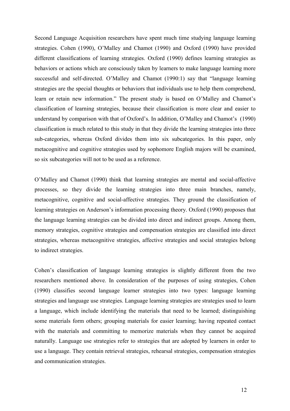Second Language Acquisition researchers have spent much time studying language learning strategies. Cohen (1990), O'Malley and Chamot (1990) and Oxford (1990) have provided different classifications of learning strategies. Oxford (1990) defines learning strategies as behaviors or actions which are consciously taken by learners to make language learning more successful and self-directed. O'Malley and Chamot (1990:1) say that "language learning strategies are the special thoughts or behaviors that individuals use to help them comprehend, learn or retain new information." The present study is based on O'Malley and Chamot's classification of learning strategies, because their classification is more clear and easier to understand by comparison with that of Oxford's. In addition, O'Malley and Chamot's (1990) classification is much related to this study in that they divide the learning strategies into three sub-categories, whereas Oxford divides them into six subcategories. In this paper, only metacognitive and cognitive strategies used by sophomore English majors will be examined, so six subcategories will not to be used as a reference.

O'Malley and Chamot (1990) think that learning strategies are mental and social-affective processes, so they divide the learning strategies into three main branches, namely, metacognitive, cognitive and social-affective strategies. They ground the classification of learning strategies on Anderson's information processing theory. Oxford (1990) proposes that the language learning strategies can be divided into direct and indirect groups. Among them, memory strategies, cognitive strategies and compensation strategies are classified into direct strategies, whereas metacognitive strategies, affective strategies and social strategies belong to indirect strategies.

Cohen's classification of language learning strategies is slightly different from the two researchers mentioned above. In consideration of the purposes of using strategies, Cohen (1990) classifies second language learner strategies into two types: language learning strategies and language use strategies. Language learning strategies are strategies used to learn a language, which include identifying the materials that need to be learned; distinguishing some materials form others; grouping materials for easier learning; having repeated contact with the materials and committing to memorize materials when they cannot be acquired naturally. Language use strategies refer to strategies that are adopted by learners in order to use a language. They contain retrieval strategies, rehearsal strategies, compensation strategies and communication strategies.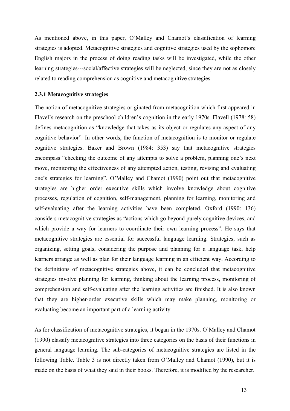<span id="page-15-0"></span>As mentioned above, in this paper, O'Malley and Chamot's classification of learning strategies is adopted. Metacognitive strategies and cognitive strategies used by the sophomore English majors in the process of doing reading tasks will be investigated, while the other learning strategies---social/affective strategies will be neglected, since they are not as closely related to reading comprehension as cognitive and metacognitive strategies.

#### **2.3.1 Metacognitive strategies**

The notion of metacognitive strategies originated from metacognition which first appeared in Flavel's research on the preschool children's cognition in the early 1970s. Flavell (1978: 58) defines metacognition as "knowledge that takes as its object or regulates any aspect of any cognitive behavior". In other words, the function of metacognition is to monitor or regulate cognitive strategies. Baker and Brown (1984: 353) say that metacognitive strategies encompass "checking the outcome of any attempts to solve a problem, planning one's next move, monitoring the effectiveness of any attempted action, testing, revising and evaluating one's strategies for learning". O'Malley and Chamot (1990) point out that metacognitive strategies are higher order executive skills which involve knowledge about cognitive processes, regulation of cognition, self-management, planning for learning, monitoring and self-evaluating after the learning activities have been completed. Oxford (1990: 136) considers metacognitive strategies as "actions which go beyond purely cognitive devices, and which provide a way for learners to coordinate their own learning process". He says that metacognitive strategies are essential for successful language learning. Strategies, such as organizing, setting goals, considering the purpose and planning for a language task, help learners arrange as well as plan for their language learning in an efficient way. According to the definitions of metacognitive strategies above, it can be concluded that metacognitive strategies involve planning for learning, thinking about the learning process, monitoring of comprehension and self-evaluating after the learning activities are finished. It is also known that they are higher-order executive skills which may make planning, monitoring or evaluating become an important part of a learning activity.

As for classification of metacognitive strategies, it began in the 1970s. O'Malley and Chamot (1990) classify metacognitive strategies into three categories on the basis of their functions in general language learning. The sub-categories of metacognitive strategies are listed in the following Table. Table 3 is not directly taken from O'Malley and Chamot (1990), but it is made on the basis of what they said in their books. Therefore, it is modified by the researcher.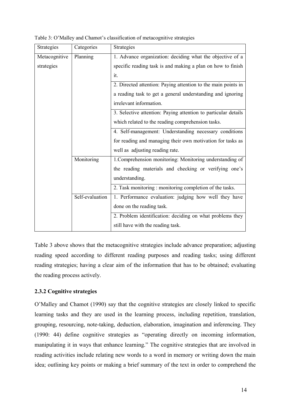| Strategies    | Categories      | <b>Strategies</b>                                              |  |  |
|---------------|-----------------|----------------------------------------------------------------|--|--|
| Metacognitive | Planning        | 1. Advance organization: deciding what the objective of a      |  |  |
| strategies    |                 | specific reading task is and making a plan on how to finish    |  |  |
|               |                 | it.                                                            |  |  |
|               |                 | 2. Directed attention: Paying attention to the main points in  |  |  |
|               |                 | a reading task to get a general understanding and ignoring     |  |  |
|               |                 | irrelevant information.                                        |  |  |
|               |                 | 3. Selective attention: Paying attention to particular details |  |  |
|               |                 | which related to the reading comprehension tasks.              |  |  |
|               |                 | 4. Self-management: Understanding necessary conditions         |  |  |
|               |                 | for reading and managing their own motivation for tasks as     |  |  |
|               |                 | well as adjusting reading rate.                                |  |  |
|               | Monitoring      | 1. Comprehension monitoring: Monitoring understanding of       |  |  |
|               |                 | the reading materials and checking or verifying one's          |  |  |
|               |                 | understanding.                                                 |  |  |
|               |                 | 2. Task monitoring: monitoring completion of the tasks.        |  |  |
|               | Self-evaluation | 1. Performance evaluation: judging how well they have          |  |  |
|               |                 | done on the reading task.                                      |  |  |
|               |                 | 2. Problem identification: deciding on what problems they      |  |  |
|               |                 | still have with the reading task.                              |  |  |

<span id="page-16-0"></span>Table 3: O'Malley and Chamot's classification of metacognitive strategies

Table 3 above shows that the metacognitive strategies include advance preparation; adjusting reading speed according to different reading purposes and reading tasks; using different reading strategies; having a clear aim of the information that has to be obtained; evaluating the reading process actively.

## **2.3.2 Cognitive strategies**

O'Malley and Chamot (1990) say that the cognitive strategies are closely linked to specific learning tasks and they are used in the learning process, including repetition, translation, grouping, resourcing, note-taking, deduction, elaboration, imagination and inferencing. They (1990: 44) define cognitive strategies as "operating directly on incoming information, manipulating it in ways that enhance learning." The cognitive strategies that are involved in reading activities include relating new words to a word in memory or writing down the main idea; outlining key points or making a brief summary of the text in order to comprehend the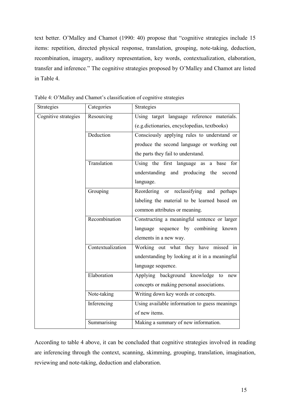text better. O'Malley and Chamot (1990: 40) propose that "cognitive strategies include 15 items: repetition, directed physical response, translation, grouping, note-taking, deduction, recombination, imagery, auditory representation, key words, contextualization, elaboration, transfer and inference." The cognitive strategies proposed by O'Malley and Chamot are listed in Table 4.

| Strategies           | Categories        | <b>Strategies</b>                              |  |
|----------------------|-------------------|------------------------------------------------|--|
| Cognitive strategies | Resourcing        | Using target language reference materials.     |  |
|                      |                   | (e.g.dictionaries, encyclopedias, textbooks)   |  |
|                      | Deduction         | Consciously applying rules to understand or    |  |
|                      |                   | produce the second language or working out     |  |
|                      |                   | the parts they fail to understand.             |  |
|                      | Translation       | Using the first language as<br>a base for      |  |
|                      |                   | understanding and producing the second         |  |
|                      |                   | language.                                      |  |
|                      | Grouping          | Reordering or reclassifying and perhaps        |  |
|                      |                   | labeling the material to be learned based on   |  |
|                      |                   | common attributes or meaning.                  |  |
|                      | Recombination     | Constructing a meaningful sentence or larger   |  |
|                      |                   | language sequence by combining known           |  |
|                      |                   | elements in a new way.                         |  |
|                      | Contextualization | Working out what they have missed in           |  |
|                      |                   | understanding by looking at it in a meaningful |  |
|                      |                   | language sequence.                             |  |
|                      | Elaboration       | Applying background knowledge to new           |  |
|                      |                   | concepts or making personal associations.      |  |
|                      | Note-taking       | Writing down key words or concepts.            |  |
|                      | Inferencing       | Using available information to guess meanings  |  |
|                      |                   | of new items.                                  |  |
|                      | Summarising       | Making a summary of new information.           |  |

Table 4: O'Malley and Chamot's classification of cognitive strategies

According to table 4 above, it can be concluded that cognitive strategies involved in reading are inferencing through the context, scanning, skimming, grouping, translation, imagination, reviewing and note-taking, deduction and elaboration.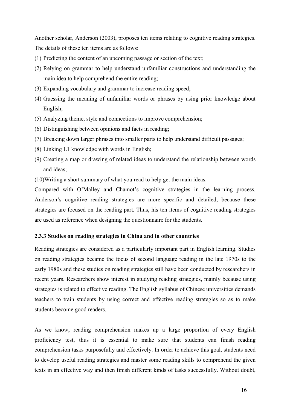<span id="page-18-0"></span>Another scholar, Anderson (2003), proposes ten items relating to cognitive reading strategies. The details of these ten items are as follows:

- (1) Predicting the content of an upcoming passage or section of the text;
- (2) Relying on grammar to help understand unfamiliar constructions and understanding the main idea to help comprehend the entire reading;
- (3) Expanding vocabulary and grammar to increase reading speed;
- (4) Guessing the meaning of unfamiliar words or phrases by using prior knowledge about English;
- (5) Analyzing theme, style and connections to improve comprehension;
- (6) Distinguishing between opinions and facts in reading;
- (7) Breaking down larger phrases into smaller parts to help understand difficult passages;
- (8) Linking L1 knowledge with words in English;
- (9) Creating a map or drawing of related ideas to understand the relationship between words and ideas;

(10)Writing a short summary of what you read to help get the main ideas.

Compared with O'Malley and Chamot's cognitive strategies in the learning process, Anderson's cognitive reading strategies are more specific and detailed, because these strategies are focused on the reading part. Thus, his ten items of cognitive reading strategies are used as reference when designing the questionnaire for the students.

#### **2.3.3 Studies on reading strategies in China and in other countries**

Reading strategies are considered as a particularly important part in English learning. Studies on reading strategies became the focus of second language reading in the late 1970s to the early 1980s and these studies on reading strategies still have been conducted by researchers in recent years. Researchers show interest in studying reading strategies, mainly because using strategies is related to effective reading. The English syllabus of Chinese universities demands teachers to train students by using correct and effective reading strategies so as to make students become good readers.

As we know, reading comprehension makes up a large proportion of every English proficiency test, thus it is essential to make sure that students can finish reading comprehension tasks purposefully and effectively. In order to achieve this goal, students need to develop useful reading strategies and master some reading skills to comprehend the given texts in an effective way and then finish different kinds of tasks successfully. Without doubt,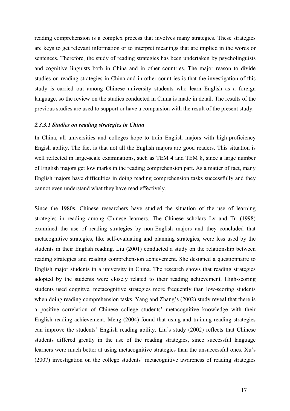<span id="page-19-0"></span>reading comprehension is a complex process that involves many strategies. These strategies are keys to get relevant information or to interpret meanings that are implied in the words or sentences. Therefore, the study of reading strategies has been undertaken by psycholinguists and cognitive linguists both in China and in other countries. The major reason to divide studies on reading strategies in China and in other countries is that the investigation of this study is carried out among Chinese university students who learn English as a foreign language, so the review on the studies conducted in China is made in detail. The results of the previous studies are used to support or have a comparsion with the result of the present study.

#### *2.3.3.1 Studies on reading strategies in China*

In China, all universities and colleges hope to train English majors with high-proficiency Engish ability. The fact is that not all the English majors are good readers. This situation is well reflected in large-scale examinations, such as TEM 4 and TEM 8, since a large number of English majors get low marks in the reading comprehension part. As a matter of fact, many English majors have difficulties in doing reading comprehension tasks successfully and they cannot even understand what they have read effectively.

Since the 1980s, Chinese researchers have studied the situation of the use of learning strategies in reading among Chinese learners. The Chinese scholars Lv and Tu (1998) examined the use of reading strategies by non-English majors and they concluded that metacognitive strategies, like self-evaluating and planning strategies, were less used by the students in their English reading. Liu (2001) conducted a study on the relationship between reading strategies and reading comprehension achievement. She designed a questionnaire to English major students in a university in China. The research shows that reading strategies adopted by the students were closely related to their reading achievement. High-scoring students used cognitve, metacognitive strategies more frequently than low-scoring students when doing reading comprehension tasks. Yang and Zhang's (2002) study reveal that there is a positive correlation of Chinese college students' metacognitive knowledge with their English reading achievement. Meng (2004) found that using and training reading strategies can improve the students' English reading ability. Liu's study (2002) reflects that Chinese students differed greatly in the use of the reading strategies, since successful language learners were much better at using metacognitive strategies than the unsuccessful ones. Xu's (2007) investigation on the college students' metacognitive awareness of reading strategies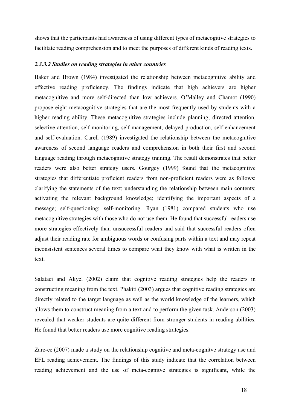<span id="page-20-0"></span>shows that the participants had awareness of using different types of metacogitive strategies to facilitate reading comprehension and to meet the purposes of different kinds of reading texts.

## *2.3.3.2 Studies on reading strategies in other countries*

Baker and Brown (1984) investigated the relationship between metacognitive ability and effective reading proficiency. The findings indicate that high achievers are higher metacognitive and more self-directed than low achievers. O'Malley and Chamot (1990) propose eight metacognitive strategies that are the most frequently used by students with a higher reading ability. These metacognitive strategies include planning, directed attention, selective attention, self-monitoring, self-management, delayed production, self-enhancement and self-evaluation. Carell (1989) investigated the relationship between the metacognitive awareness of second language readers and comprehension in both their first and second language reading through metacognitive strategy training. The result demonstrates that better readers were also better strategy users. Gourgey (1999) found that the metacognitive strategies that differentiate proficient readers from non-proficient readers were as follows: clarifying the statements of the text; understanding the relationship between main contents; activating the relevant background knowledge; identifying the important aspects of a message; self-questioning; self-monitoring. Ryan (1981) compared students who use metacognitive strategies with those who do not use them. He found that successful readers use more strategies effectively than unsuccessful readers and said that successful readers often adjust their reading rate for ambiguous words or confusing parts within a text and may repeat inconsistent sentences several times to compare what they know with what is written in the text.

Salataci and Akyel (2002) claim that cognitive reading strategies help the readers in constructing meaning from the text. Phakiti (2003) argues that cognitive reading strategies are directly related to the target language as well as the world knowledge of the learners, which allows them to construct meaning from a text and to perform the given task. Anderson (2003) revealed that weaker students are quite different from stronger students in reading abilities. He found that better readers use more cognitive reading strategies.

Zare-ee (2007) made a study on the relationship cognitive and meta-cognitve strategy use and EFL reading achievement. The findings of this study indicate that the correlation between reading achievement and the use of meta-cognitve strategies is significant, while the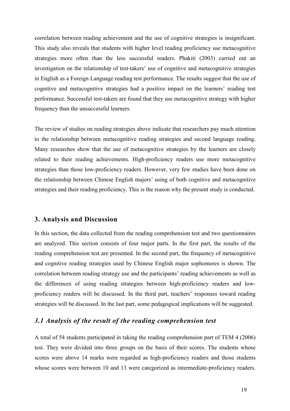<span id="page-21-0"></span>correlation between reading achievement and the use of cognitive strategies is insignificant. This study also reveals that students with higher level reading proficiency use metacognitive strategies more often than the less successful readers. Phakiti (2003) carried out an investigation on the relationship of test-takers' use of cognitive and metacognitive strategies in English as a Foreign Language reading test performance. The results suggest that the use of cognitive and metacognitive strategies had a positive impact on the learners' reading test performance. Successful test-takers are found that they use metacognitive strategy with higher frequency than the unsuccessful learners.

The review of studies on reading strategies above indicate that researchers pay much attention to the relationship between metacognitive reading strategies and second language reading. Many researches show that the use of metacognitive strategies by the learners are closely related to their reading achievements. High-proficiency readers use more metacognitive strategies than those low-proficiency readers. However, very few studies have been done on the relationship between Chinese English majors' using of both cognitive and metacognitive strategies and their reading proficiency. This is the reason why the present study is conducted.

## **3. Analysis and Discussion**

In this section, the data collected from the reading comprehension test and two questionnaires are analyzed. This section consists of four major parts. In the first part, the results of the reading comprehension test are presented. In the second part, the frequency of metacognitive and cognitive reading strategies used by Chinese English major sophomores is shown. The correlation between reading strategy use and the participants' reading achievements as well as the differences of using reading strategies between high-proficiency readers and lowproficiency readers will be discussed. In the third part, teachers' responses toward reading strategies will be discussed. In the last part, some pedagogical implications will be suggested.

## *3.1 Analysis of the result of the reading comprehension test*

A total of 54 students participated in taking the reading comprehension part of TEM 4 (2006) test. They were divided into three groups on the basis of their scores. The students whose scores were above 14 marks were regarded as high-proficiency readers and those students whose scores were between 10 and 13 were categorized as intermediate-proficiency readers.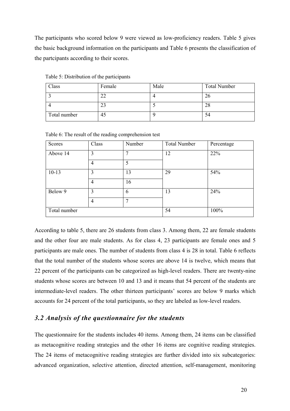<span id="page-22-0"></span>The participants who scored below 9 were viewed as low-proficiency readers. Table 5 gives the basic background information on the participants and Table 6 presents the classification of the partcipants according to their scores.

| Class        | Female | Male | <b>Total Number</b> |
|--------------|--------|------|---------------------|
|              |        |      | 26                  |
|              |        |      | 28                  |
| Total number | 45     |      | 54                  |

Table 5: Distribution of the participants

| Scores       | Class          | Number | <b>Total Number</b> | Percentage |
|--------------|----------------|--------|---------------------|------------|
| Above 14     | 3              |        | 12                  | 22%        |
|              | $\overline{4}$ | 5      |                     |            |
| $10-13$      | 3              | 13     | 29                  | 54%        |
|              | $\overline{4}$ | 16     |                     |            |
| Below 9      | 3              | 6      | 13                  | 24%        |
|              | $\overline{4}$ |        |                     |            |
| Total number |                |        | 54                  | 100%       |

Table 6: The result of the reading comprehension test

According to table 5, there are 26 students from class 3. Among them, 22 are female students and the other four are male students. As for class 4, 23 participants are female ones and 5 participants are male ones. The number of students from class 4 is 28 in total. Table 6 reflects that the total number of the students whose scores are above 14 is twelve, which means that 22 percent of the participants can be categorized as high-level readers. There are twenty-nine students whose scores are between 10 and 13 and it means that 54 percent of the students are intermediate-level readers. The other thirteen participants' scores are below 9 marks which accounts for 24 percent of the total participants, so they are labeled as low-level readers.

## *3.2 Analysis of the questionnaire for the students*

The questionnaire for the students includes 40 items. Among them, 24 items can be classified as metacognitive reading strategies and the other 16 items are cognitive reading strategies. The 24 items of metacognitive reading strategies are further divided into six subcategories: advanced organization, selective attention, directed attention, self-management, monitoring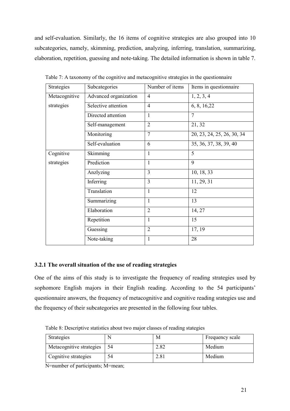<span id="page-23-0"></span>and self-evaluation. Similarly, the 16 items of cognitive strategies are also grouped into 10 subcategories, namely, skimming, prediction, analyzing, inferring, translation, summarizing, elaboration, repetition, guessing and note-taking. The detailed information is shown in table 7.

| Strategies    | Subcategories                   | Number of items | Items in questionnaire     |
|---------------|---------------------------------|-----------------|----------------------------|
| Metacognitive | Advanced organization           | $\overline{4}$  | 1, 2, 3, 4                 |
| strategies    | Selective attention             | $\overline{4}$  | 6, 8, 16, 22               |
|               | Directed attention              | 1               | $\overline{7}$             |
|               | Self-management                 | $\overline{2}$  | 21, 32                     |
|               | Monitoring                      | $\overline{7}$  | 20, 23, 24, 25, 26, 30, 34 |
|               | Self-evaluation                 | 6               | 35, 36, 37, 38, 39, 40     |
| Cognitive     | Skimming                        | 1               | 5                          |
| strategies    | Prediction                      | 1               | 9                          |
|               | Anzlyzing                       | 3               | 10, 18, 33                 |
|               | Inferring                       | 3               | 11, 29, 31                 |
|               | Translation                     | 1               | 12                         |
|               | Summarizing                     | 1               | 13                         |
|               | Elaboration                     | $\overline{2}$  | 14, 27                     |
|               | Repetition                      | $\mathbf{1}$    | 15                         |
|               | Guessing                        | $\overline{2}$  | 17, 19                     |
|               | $\overline{\text{Note-taking}}$ | $\mathbf{1}$    | 28                         |

Table 7: A taxonomy of the cognitive and metacognitive strategies in the questionnaire

## **3.2.1 The overall situation of the use of reading strategies**

One of the aims of this study is to investigate the frequency of reading strategies used by sophomore English majors in their English reading. According to the 54 participants' questionnaire answers, the frequency of metacognitive and cognitive reading srategies use and the frequency of their subcategories are presented in the following four tables.

| Strategies               |     | M    | Frequency scale |
|--------------------------|-----|------|-----------------|
| Metacognitive strategies | -54 | 2.82 | Medium          |
| Cognitive strategies     | 54  | 2.81 | Medium          |

Table 8: Descriptive statistics about two major classes of reading stategies

N=number of participants; M=mean;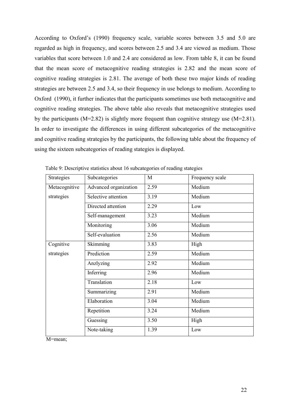According to Oxford's (1990) frequency scale, variable scores between 3.5 and 5.0 are regarded as high in frequency, and scores between 2.5 and 3.4 are viewed as medium. Those variables that score between 1.0 and 2.4 are considered as low. From table 8, it can be found that the mean score of metacognitive reading strategies is 2.82 and the mean score of cognitive reading strategies is 2.81. The average of both these two major kinds of reading strategies are between 2.5 and 3.4, so their frequency in use belongs to medium. According to Oxford (1990), it further indicates that the participants sometimes use both metacognitive and cognitive reading strategies. The above table also reveals that metacognitive strategies used by the participants ( $M=2.82$ ) is slightly more frequent than cognitive strategy use ( $M=2.81$ ). In order to investigate the differences in using different subcategories of the metacognitive and cognitive reading strategies by the participants, the following table about the frequency of using the sixteen subcategories of reading stategies is displayed.

| Strategies    | Subcategories         | M    | Frequency scale |
|---------------|-----------------------|------|-----------------|
| Metacognitive | Advanced organization | 2.59 | Medium          |
| strategies    | Selective attention   | 3.19 | Medium          |
|               | Directed attention    | 2.29 | Low             |
|               | Self-management       | 3.23 | Medium          |
|               | Monitoring            | 3.06 | Medium          |
|               | Self-evaluation       | 2.56 | Medium          |
| Cognitive     | Skimming              | 3.83 | High            |
| strategies    | Prediction            | 2.59 | Medium          |
|               | Anzlyzing             | 2.92 | Medium          |
|               | Inferring             | 2.96 | Medium          |
|               | Translation           | 2.18 | Low             |
|               | Summarizing           | 2.91 | Medium          |
|               | Elaboration           | 3.04 | Medium          |
|               | Repetition            | 3.24 | Medium          |
|               | Guessing              | 3.50 | High            |
|               | Note-taking           | 1.39 | Low             |
|               |                       |      |                 |

Table 9: Descriptive statistics about 16 subcategories of reading stategies

M=mean;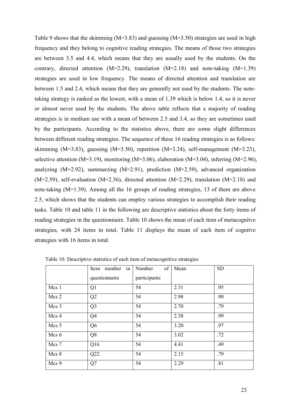Table 9 shows that the skimming  $(M=3.83)$  and guessing  $(M=3.50)$  strategies are used in high frequency and they belong to cognitive reading strategies. The means of those two strategies are between 3.5 and 4.4, which means that they are usually used by the students. On the contrary, directed attention (M=2.29), translation (M=2.18) and note-taking (M=1.39) strategies are used in low frequency. The means of directed attention and translation are between 1.5 and 2.4, which means that they are generally not used by the students. The notetaking strategy is ranked as the lowest, with a mean of 1.39 which is below 1.4, so it is never or almost never used by the students. The above table reflects that a majority of reading strategies is in medium use with a mean of between 2.5 and 3.4, so they are sometimes used by the participants. According to the statistics above, there are some slight differences between different reading strategies. The sequence of these 16 reading strategies is as follows: skimming (M=3.83), guessing (M=3.50), repetition (M=3.24), self-management (M=3.23), selective attention (M=3.19), monitoring (M=3.06), elaboration (M=3.04), inferring (M=2.96), analyzing (M=2.92), summarzing (M=2.91), prediction (M=2.59), advanced organization  $(M=2.59)$ , self-evaluation  $(M=2.56)$ , directed attention  $(M=2.29)$ , translation  $(M=2.18)$  and note-taking (M=1.39). Among all the 16 groups of reading strategies, 13 of them are above 2.5, which shows that the students can employ various strategies to accomplish their reading tasks. Table 10 and table 11 in the following are descriptive statistics about the forty items of reading strategies in the questionnaire. Table 10 shows the mean of each item of metacognitve strategies, with 24 items in total. Table 11 displays the mean of each item of cognitve strategies with 16 items in total.

|       | in<br>Item number | of<br>Number | Mean | <b>SD</b> |
|-------|-------------------|--------------|------|-----------|
|       | questionnaire     | participants |      |           |
| Mcs 1 | Q <sub>1</sub>    | 54           | 2.31 | .95       |
| Mcs 2 | Q2                | 54           | 2.98 | .90       |
| Mcs 3 | Q <sub>3</sub>    | 54           | 2.70 | .79       |
| Mcs 4 | Q <sub>4</sub>    | 54           | 2.38 | .99       |
| Mcs 5 | Q <sub>6</sub>    | 54           | 3.20 | .97       |
| Mcs 6 | Q <sub>8</sub>    | 54           | 3.02 | .72       |
| Mcs 7 | Q16               | 54           | 4.41 | .49       |
| Mcs 8 | Q22               | 54           | 2.15 | .79       |
| Mcs 9 | Q7                | 54           | 2.29 | .81       |

Table 10: Descriptive statistics of each item of metacognitive strategies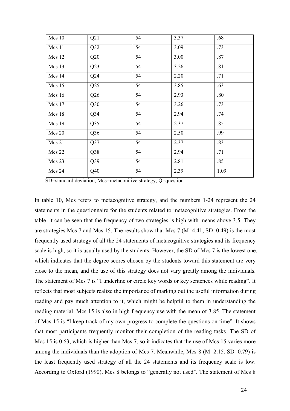| Mcs 10 | Q21             | 54 | 3.37 | .68  |
|--------|-----------------|----|------|------|
| Mcs 11 | Q32             | 54 | 3.09 | .73  |
| Mcs 12 | Q20             | 54 | 3.00 | .87  |
| Mcs 13 | Q23             | 54 | 3.26 | .81  |
| Mcs 14 | Q24             | 54 | 2.20 | .71  |
| Mcs 15 | Q25             | 54 | 3.85 | .63  |
| Mcs 16 | Q26             | 54 | 2.93 | .80  |
| Mcs 17 | Q30             | 54 | 3.26 | .73  |
| Mcs 18 | Q <sub>34</sub> | 54 | 2.94 | .74  |
| Mcs 19 | Q35             | 54 | 2.37 | .85  |
| Mcs 20 | Q36             | 54 | 2.50 | .99  |
| Mcs 21 | Q37             | 54 | 2.37 | .83  |
| Mcs 22 | Q38             | 54 | 2.94 | .71  |
| Mcs 23 | Q39             | 54 | 2.81 | .85  |
| Mcs 24 | Q40             | 54 | 2.39 | 1.09 |

SD=standard deviation; Mcs=metaconitive strategy; Q=question

In table 10, Mcs refers to metacognitive strategy, and the numbers 1-24 represent the 24 statements in the questionnaire for the students related to metacognitive strategies. From the table, it can be seen that the frequency of two strategies is high with means above 3.5. They are strategies Mcs 7 and Mcs 15. The results show that Mcs 7 (M=4.41, SD=0.49) is the most frequently used strategy of all the 24 statements of metacognitive strategies and its frequency scale is high, so it is usually used by the students. However, the SD of Mcs 7 is the lowest one, which indicates that the degree scores chosen by the students toward this statement are very close to the mean, and the use of this strategy does not vary greatly among the individuals. The statement of Mcs 7 is "I underline or circle key words or key sentences while reading". It reflects that most subjects realize the importance of marking out the useful information during reading and pay much attention to it, which might be helpful to them in understanding the reading material. Mcs 15 is also in high frequency use with the mean of 3.85. The statement of Mcs 15 is "I keep track of my own progress to complete the questions on time". It shows that most participants frequently monitor their completion of the reading tasks. The SD of Mcs 15 is 0.63, which is higher than Mcs 7, so it indicates that the use of Mcs 15 varies more among the individuals than the adoption of Mcs 7. Meanwhile, Mcs 8 ( $M=2.15$ , SD=0.79) is the least frequently used strategy of all the 24 statements and its frequency scale is low. According to Oxford (1990), Mcs 8 belongs to "generally not used". The statement of Mcs 8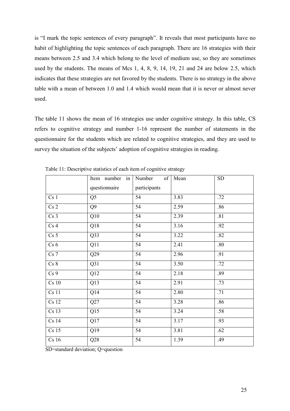is "I mark the topic sentences of every paragraph". It reveals that most participants have no habit of highlighting the topic sentences of each paragraph. There are 16 strategies with their means between 2.5 and 3.4 which belong to the level of medium use, so they are sometimes used by the students. The means of Mcs 1, 4, 8, 9, 14, 19, 21 and 24 are below 2.5, which indicates that these strategies are not favored by the students. There is no strategy in the above table with a mean of between 1.0 and 1.4 which would mean that it is never or almost never used.

The table 11 shows the mean of 16 strategies use under cognitive strategy. In this table, CS refers to cognitive strategy and number 1-16 represent the number of statements in the questionnaire for the students which are related to cognitive strategies, and they are used to survey the situation of the subjects' adoption of cognitive strategies in reading.

|                              | Item number in Number of Mean |                 |      | <b>SD</b> |
|------------------------------|-------------------------------|-----------------|------|-----------|
|                              | questionnaire                 | participants    |      |           |
| Cs <sub>1</sub>              | $Q\overline{5}$               | 54              | 3.83 | .72       |
| Cs <sub>2</sub>              | $\overline{Q9}$               | 54              | 2.59 | .86       |
| Cs <sub>3</sub>              | Q10                           | 54              | 2.39 | .81       |
| $\mathop{\rm Cs}\nolimits 4$ | Q18                           | 54              | 3.16 | .92       |
| Cs <sub>5</sub>              | Q33                           | 54              | 3.22 | .82       |
| Cs <sub>6</sub>              | Q11                           | 54              | 2.41 | .80       |
| Cs <sub>7</sub>              | $\overline{Q29}$              | $\overline{54}$ | 2.96 | .91       |
| Cs 8                         | Q31                           | 54              | 3.50 | .72       |
| Cs <sub>9</sub>              | Q12                           | 54              | 2.18 | .89       |
| $Cs$ 10                      | $\overline{Q13}$              | $\overline{54}$ | 2.91 | .73       |
| $Cs$ 11                      | Q14                           | 54              | 2.80 | .71       |
| <b>Cs 12</b>                 | Q27                           | 54              | 3.28 | .86       |
| Cs 13                        | $\overline{Q15}$              | 54              | 3.24 | .58       |
| <b>Cs 14</b>                 | Q17                           | 54              | 3.17 | .93       |
| $Cs$ 15                      | $\overline{Q19}$              | 54              | 3.81 | .62       |
| $Cs$ 16                      | $\overline{Q28}$              | 54              | 1.39 | .49       |

Table 11: Descriptive statistics of each item of cognitive strategy

SD=standard deviation; Q=question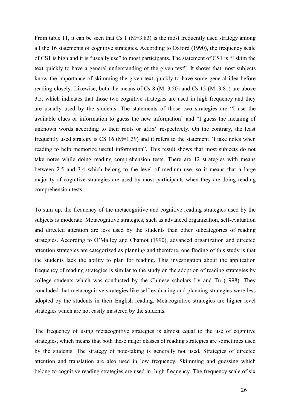From table 11, it can be seen that Cs 1 ( $M=3.83$ ) is the most frequently used strategy among all the 16 statements of cognitive strategies. According to Oxford (1990), the frequency scale of CS1 is high and it is "usually use" to most participants. The statement of CS1 is "I skim the text quickly to have a general understanding of the given text". It shows that most subjects know the importance of skimming the given text quickly to have some general idea before reading closely. Likewise, both the means of Cs 8 (M=3.50) and Cs 15 (M=3.81) are above 3.5, which indicates that those two cognitive strategies are used in high frequency and they are usually used by the students. The statements of those two strategies are "I use the available clues or information to guess the new information" and "I guess the meaning of unknown words according to their roots or affix" respectively. On the contrary, the least frequently used strategy is CS 16 (M=1.39) and it refers to the statement "I take notes when reading to help memorize useful information". This result shows that most subjects do not take notes while doing reading comprehension tests. There are 12 strategies with means between 2.5 and 3.4 which belong to the level of medium use, so it means that a large majority of cognitive strategies are used by most participants when they are doing reading comprehension tests.

To sum up, the frequency of the metacognitive and cognitive reading strategies used by the subjects is moderate. Metacognitive strategies, such as advanced organization, self-evaluation and directed attention are less used by the students than other subcategories of reading strategies. According to O'Malley and Chamot (1990), advanced organization and directed attention strategies are categorized as planning and therefore, one finding of this study is that the students lack the ability to plan for reading. This investigation about the application frequency of reading strategies is similar to the study on the adoption of reading strategies by college students which was conducted by the Chinese scholars Lv and Tu (1998). They concluded that metacognitive strategies like self-evaluating and planning strategies were less adopted by the students in their English reading. Metacognitive strategies are higher level strategies which are not easily mastered by the students.

The frequency of using metacognitive strategies is almost equal to the use of cognitive strategies, which means that both these major classes of reading strategies are sometimes used by the students. The strategy of note-taking is generally not used. Strategies of directed attention and translation are also used in low frequency. Skimming and guessing which belong to cognitive reading strategies are used in high frequency. The frequency scale of six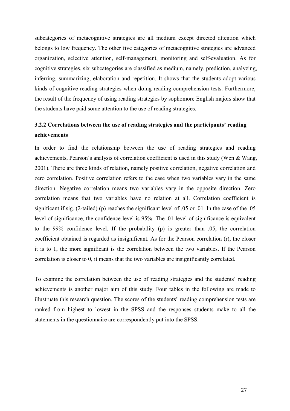<span id="page-29-0"></span>subcategories of metacognitive strategies are all medium except directed attention which belongs to low frequency. The other five categories of metacognitive strategies are advanced organization, selective attention, self-management, monitoring and self-evaluation. As for cognitive strategies, six subcategories are classified as medium, namely, prediction, analyzing, inferring, summarizing, elaboration and repetition. It shows that the students adopt various kinds of cognitive reading strategies when doing reading comprehension tests. Furthermore, the result of the frequency of using reading strategies by sophomore English majors show that the students have paid some attention to the use of reading strategies.

## **3.2.2 Correlations between the use of reading strategies and the participants' reading achievements**

In order to find the relationship between the use of reading strategies and reading achievements, Pearson's analysis of correlation coefficient is used in this study (Wen & Wang, 2001). There are three kinds of relation, namely positive correlation, negative correlation and zero correlation. Positive correlation refers to the case when two variables vary in the same direction. Negative correlation means two variables vary in the opposite direction. Zero correlation means that two variables have no relation at all. Correlation coefficient is significant if sig. (2-tailed) (p) reaches the significant level of .05 or .01. In the case of the .05 level of significance, the confidence level is 95%. The .01 level of significance is equivalent to the 99% confidence level. If the probability (p) is greater than .05, the correlation coefficient obtained is regarded as insignificant. As for the Pearson correlation (r), the closer it is to 1, the more significant is the correlation between the two variables. If the Pearson correlation is closer to 0, it means that the two variables are insignificantly correlated.

To examine the correlation between the use of reading strategies and the students' reading achievements is another major aim of this study. Four tables in the following are made to illustruate this research question. The scores of the students' reading comprehension tests are ranked from highest to lowest in the SPSS and the responses students make to all the statements in the questionnaire are correspondently put into the SPSS.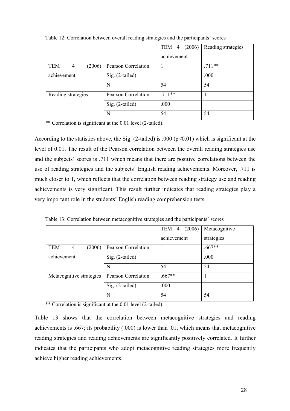|                                        |                     | <b>TEM</b><br>(2006)<br>4 | Reading strategies |
|----------------------------------------|---------------------|---------------------------|--------------------|
|                                        |                     | achievement               |                    |
| <b>TEM</b><br>(2006)<br>$\overline{4}$ | Pearson Correlation |                           | $.711**$           |
| achievement                            | Sig. (2-tailed)     |                           | .000               |
|                                        | N                   | 54                        | 54                 |
| Reading strategies                     | Pearson Correlation | $.711**$                  |                    |
|                                        | Sig. (2-tailed)     | .000                      |                    |
|                                        | N                   | 54                        | 54                 |

Table 12: Correlation between overall reading strategies and the participants' scores

\*\* Correlation is significant at the 0.01 level (2-tailed).

According to the statistics above, the Sig. (2-tailed) is .000 ( $p<0.01$ ) which is significant at the level of 0.01. The result of the Pearson correlation between the overall reading strategies use and the subjects' scores is .711 which means that there are positive correlations between the use of reading strategies and the subjects' English reading achievements. Moreover, .711 is much closer to 1, which reflects that the correlation between reading strategy use and reading achievements is very significant. This result further indicates that reading strategies play a very important role in the students' English reading comprehension tests.

|                           |                     | TEM 4 (2006) | Metacognitive |
|---------------------------|---------------------|--------------|---------------|
|                           |                     | achievement  | strategies    |
| <b>TEM</b><br>(2006)<br>4 | Pearson Correlation |              | $.667**$      |
| achievement               | Sig. (2-tailed)     |              | .000          |
|                           | N                   | 54           | 54            |
| Metacognitive strategies  | Pearson Correlation | $.667**$     |               |
|                           | Sig. (2-tailed)     | .000         |               |
|                           | N                   | 54           | 54            |

Table 13: Correlation between metacognitive strategies and the participants' scores

\*\* Correlation is significant at the 0.01 level (2-tailed).

Table 13 shows that the correlation between metacognitive strategies and reading achievements is .667; its probability (.000) is lower than .01, which means that metacognitive reading strategies and reading achievements are significantly positively correlated. It further indicates that the participants who adopt metacognitive reading strategies more frequently achieve higher reading achievements.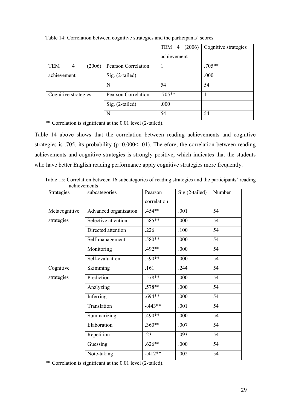|                                        |                            | (2006)<br>TEM<br>$\overline{4}$ | Cognitive strategies |
|----------------------------------------|----------------------------|---------------------------------|----------------------|
|                                        |                            | achievement                     |                      |
| <b>TEM</b><br>(2006)<br>$\overline{4}$ | Pearson Correlation        | 1                               | $.705**$             |
| achievement                            | Sig. (2-tailed)            |                                 | .000                 |
|                                        | N                          | 54                              | 54                   |
| Cognitive strategies                   | <b>Pearson Correlation</b> | $.705**$                        |                      |
|                                        | Sig. (2-tailed)            | .000                            |                      |
|                                        | N                          | 54                              | 54                   |

Table 14: Correlation between cognitive strategies and the participants' scores

\*\* Correlation is significant at the 0.01 level (2-tailed).

Table 14 above shows that the correlation between reading achievements and cognitive strategies is .705, its probability (p=0.000< .01). Therefore, the correlation between reading achievements and cognitive strategies is strongly positive, which indicates that the students who have better English reading performance apply cognitive strategies more frequently.

|                   | acincvenichts         |             |                 |        |
|-------------------|-----------------------|-------------|-----------------|--------|
| <b>Strategies</b> | subcategories         | Pearson     | $Sig(2-tailed)$ | Number |
|                   |                       | correlation |                 |        |
|                   |                       |             |                 |        |
| Metacognitive     | Advanced organization | .454**      | .001            | 54     |
| strategies        | Selective attention   | .585**      | .000            | 54     |
|                   | Directed attention    | .226        | .100            | 54     |
|                   | Self-management       | .580**      | .000            | 54     |
|                   | Monitoring            | .492**      | .000            | 54     |
|                   | Self-evaluation       | .590**      | .000            | 54     |
| Cognitive         | Skimming              | .161        | .244            | 54     |
| strategies        | Prediction            | $.578**$    | .000            | 54     |
|                   | Anzlyzing             | .578**      | .000            | 54     |
|                   | Inferring             | $.694**$    | .000            | 54     |
|                   | Translation           | $-.443**$   | .001            | 54     |
|                   | Summarizing           | $.490**$    | .000            | 54     |
|                   | Elaboration           | $.360**$    | .007            | 54     |
|                   | Repetition            | .231        | .093            | 54     |
|                   | Guessing              | $.626**$    | .000            | 54     |
|                   | Note-taking           | $-412**$    | .002            | 54     |

Table 15: Correlation between 16 subcategories of reading strategies and the participants' reading achievements

\*\* Correlation is significant at the 0.01 level (2-tailed).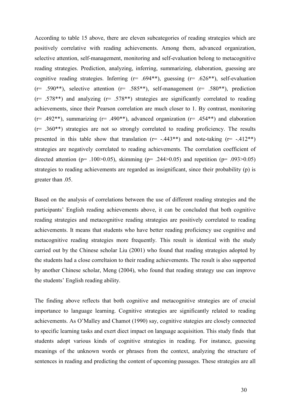According to table 15 above, there are eleven subcategories of reading strategies which are positively correlative with reading achievements. Among them, advanced organization, selective attention, self-management, monitoring and self-evaluation belong to metacognitive reading strategies. Prediction, analyzing, inferring, summarizing, elaboration, guessing are cognitive reading strategies. Inferring  $(r= .694**)$ , guessing  $(r= .626**)$ , self-evaluation  $(r= .590^{**})$ , selective attention  $(r= .585^{**})$ , self-management  $(r= .580^{**})$ , prediction  $(r= .578**)$  and analyzing  $(r= .578**)$  strategies are significantly correlated to reading achievements, since their Pearson correlation are much closer to 1. By contrast, monitoring  $(r= .492**)$ , summarizing  $(r= .490**)$ , advanced organization  $(r= .454**)$  and elaboration (r= .360\*\*) strategies are not so strongly correlated to reading proficiency. The results presented in this table show that translation  $(r= -.443**)$  and note-taking  $(r= -.412**)$ strategies are negatively correlated to reading achievements. The correlation coefficient of directed attention (p= .100 $> 0.05$ ), skimming (p= .244 $> 0.05$ ) and repetition (p= .093 $> 0.05$ ) strategies to reading achievements are regarded as insignificant, since their probability (p) is greater than .05.

Based on the analysis of correlations between the use of different reading strategies and the participants' English reading achievements above, it can be concluded that both cognitive reading strategies and metacognitive reading strategies are positively correlated to reading achievements. It means that students who have better reading proficiency use cognitive and metacognitive reading strategies more frequently. This result is identical with the study carried out by the Chinese scholar Liu (2001) who found that reading strategies adopted by the students had a close correltaion to their reading achievements. The result is also supported by another Chinese scholar, Meng (2004), who found that reading strategy use can improve the students' English reading ability.

The finding above reflects that both cognitive and metacognitive strategies are of crucial importance to language learning. Cognitive strategies are significantly related to reading achievements. As O'Malley and Chamot (1990) say, cognitive stategies are closely connected to specific learning tasks and exert diect impact on language acquisition. This study finds that students adopt various kinds of cognitive strategies in reading. For instance, guessing meanings of the unknown words or phrases from the context, analyzing the structure of sentences in reading and predicting the content of upcoming passages. These strategies are all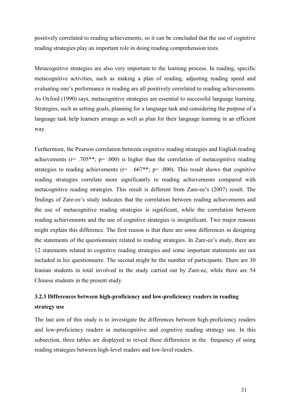<span id="page-33-0"></span>positively correlated to reading achievements, so it can be concluded that the use of cognitive reading strategies play an important role in doing reading comprehension tests.

Metacognitive strategies are also very important to the learning process. In reading, specific metacognitive activities, such as making a plan of reading, adjusting reading speed and evaluating one's performance in reading are all positively correlated to reading achievements. As Oxford (1990) says, metacognitive strategies are essential to successful language learning. Strategies, such as setting goals, planning for a language task and considering the purpose of a language task help learners arrange as well as plan for their language learning in an efficient way.

Furthermore, the Pearson correlation between cognitive reading strategies and English reading achievements ( $r= .705$ <sup>\*\*</sup>;  $p= .000$ ) is higher than the correlation of metacognitive reading strategies to reading achievements ( $r=$  . 667\*\*;  $p=$  .000). This result shows that cognitive reading strategies correlate more significantly to reading achievements compared with metacognitive reading strategies. This result is different from Zare-ee's (2007) result. The findings of Zare-ee's study indicates that the correlation between reading achievements and the use of metacognitive reading strategies is significant, while the correlation between reading achievements and the use of cognitive strategies is insignificant. Two major reasons might explain this difference. The first reason is that there are some differences in designing the statements of the questionnaire related to reading strategies. In Zare-ee's study, there are 12 statements related to cognitive reading strategies and some important statements are not included in his questionnaire. The second might be the number of participants. There are 30 Iranian students in total involved in the study carried out by Zare-ee, while there are 54 Chinese students in the present study.

## **3.2.3 Differences between high-proficiency and low-proficiency readers in reading strategy use**

The last aim of this study is to investigate the differences between high-proficiency readers and low-proficiency readers in metacognitive and cognitive reading strategy use. In this subsection, three tables are displayed to reveal these differences in the frequency of using reading strategies between high-level readers and low-level readers.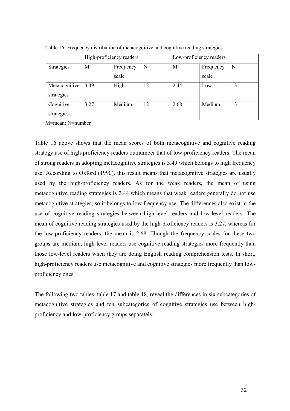|               | High-proficiency readers |           |    | Low-proficiency readers |           |    |
|---------------|--------------------------|-----------|----|-------------------------|-----------|----|
| Strategies    | M                        | Frequency | N  | M                       | Frequency | N  |
|               |                          | scale     |    |                         | scale     |    |
| Metacognitive | 3.49                     | High      | 12 | 2.44                    | Low       | 13 |
| strategies    |                          |           |    |                         |           |    |
| Cognitive     | 3.27                     | Medium    | 12 | 2.68                    | Medium    | 13 |
| strategies    |                          |           |    |                         |           |    |

Table 16: Frequency distribution of metacognitive and cognitive reading strategies

M=mean; N=number

Table 16 above shows that the mean scores of both metacognitive and cognitive reading strategy use of high-proficiency readers outnumber that of low-proficiency readers. The mean of strong readers in adopting metacognitive strategies is 3.49 which belongs to high frequency use. According to Oxford (1990), this result means that metacognitive strategies are usually used by the high-proficiency readers. As for the weak readers, the mean of using metacognitive reading strategies is 2.44 which means that weak readers generally do not use metacognitive strategies, so it belongs to low frequency use. The differences also exist in the use of cognitive reading strategies between high-level readers and low-level readers. The mean of cognitive reading strategies used by the high-proficiency readers is 3.27, whereas for the low-proficiency readers, the mean is 2.68. Though the frequency scales for these two groups are medium, high-level readers use cognitive reading strategies more frequently than those low-level readers when they are doing English reading comprehension tests. In short, high-proficiency readers use metacognitive and cognitive strategies more frequently than lowproficiency ones.

The following two tables, table 17 and table 18, reveal the differences in six subcategories of metacognitive strategies and ten subcategories of cognitive strategies use between highproficiency and low-proficiency groups separately.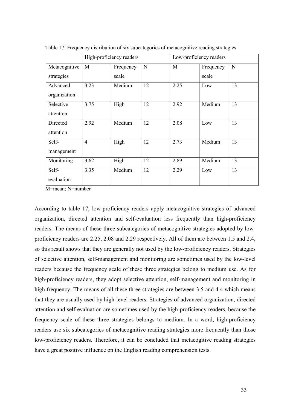|                             | High-proficiency readers |                    |    | Low-proficiency readers |                    |    |
|-----------------------------|--------------------------|--------------------|----|-------------------------|--------------------|----|
| Metacognitive<br>strategies | M                        | Frequency<br>scale | N  | M                       | Frequency<br>scale | N  |
| Advanced<br>organization    | 3.23                     | Medium             | 12 | 2.25                    | Low                | 13 |
| Selective<br>attention      | 3.75                     | High               | 12 | 2.92                    | Medium             | 13 |
| Directed<br>attention       | 2.92                     | Medium             | 12 | 2.08                    | Low                | 13 |
| Self-<br>management         | $\overline{4}$           | High               | 12 | 2.73                    | Medium             | 13 |
| Monitoring                  | 3.62                     | High               | 12 | 2.89                    | Medium             | 13 |
| Self-<br>evaluation         | 3.35                     | Medium             | 12 | 2.29                    | Low                | 13 |

Table 17: Frequency distribution of six subcategories of metacognitive reading strategies

M=mean; N=number

According to table 17, low-proficiency readers apply metacognitive strategies of advanced organization, directed attention and self-evaluation less frequently than high-proficiency readers. The means of these three subcategories of metacognitive strategies adopted by lowproficiency readers are 2.25, 2.08 and 2.29 respectively. All of them are between 1.5 and 2.4, so this result shows that they are generally not used by the low-proficiency readers. Strategies of selective attention, self-management and monitoring are sometimes used by the low-level readers because the frequency scale of these three strategies belong to medium use. As for high-proficiency readers, they adopt selective attention, self-management and monitoring in high frequency. The means of all these three strategies are between 3.5 and 4.4 which means that they are usually used by high-level readers. Strategies of advanced organization, directed attention and self-evaluation are sometimes used by the high-proficiency readers, because the frequency scale of these three strategies belongs to medium. In a word, high-proficiency readers use six subcategories of metacognitive reading strategies more frequently than those low-proficiency readers. Therefore, it can be concluded that metacogitive reading strategies have a great positive influence on the English reading comprehension tests.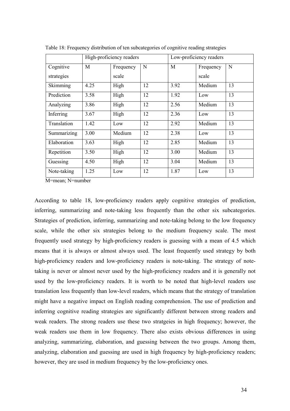|             | High-proficiency readers |           |    | Low-proficiency readers |           |    |
|-------------|--------------------------|-----------|----|-------------------------|-----------|----|
| Cognitive   | M                        | Frequency | N  | M                       | Frequency | N  |
| strategies  |                          | scale     |    |                         | scale     |    |
| Skimming    | 4.25                     | High      | 12 | 3.92                    | Medium    | 13 |
| Prediction  | 3.58                     | High      | 12 | 1.92                    | Low       | 13 |
| Analyzing   | 3.86                     | High      | 12 | 2.56                    | Medium    | 13 |
| Inferring   | 3.67                     | High      | 12 | 2.36                    | Low       | 13 |
| Translation | 1.42                     | Low       | 12 | 2.92                    | Medium    | 13 |
| Summarizing | 3.00                     | Medium    | 12 | 2.38                    | Low       | 13 |
| Elaboration | 3.63                     | High      | 12 | 2.85                    | Medium    | 13 |
| Repetition  | 3.50                     | High      | 12 | 3.00                    | Medium    | 13 |
| Guessing    | 4.50                     | High      | 12 | 3.04                    | Medium    | 13 |
| Note-taking | 1.25                     | Low       | 12 | 1.87                    | Low       | 13 |

Table 18: Frequency distribution of ten subcategories of cognitive reading strategies

M=mean; N=number

According to table 18, low-proficiency readers apply cognitive strategies of prediction, inferring, summarizing and note-taking less frequently than the other six subcategories. Strategies of prediction, inferring, summarizing and note-taking belong to the low frequency scale, while the other six strategies belong to the medium frequency scale. The most frequently used strategy by high-proficiency readers is guessing with a mean of 4.5 which means that it is always or almost always used. The least frequently used strategy by both high-proficiency readers and low-proficiency readers is note-taking. The strategy of notetaking is never or almost never used by the high-proficiency readers and it is generally not used by the low-proficiency readers. It is worth to be noted that high-level readers use translation less frequently than low-level readers, which means that the strategy of translation might have a negative impact on English reading comprehension. The use of prediction and inferring cognitive reading strategies are significantly different between strong readers and weak readers. The strong readers use these two stratgeies in high frequency; however, the weak readers use them in low frequency. There also exists obvious differences in using analyzing, summarizing, elaboration, and guessing between the two groups. Among them, analyzing, elaboration and guessing are used in high frequency by high-proficiency readers; however, they are used in medium frequency by the low-proficiency ones.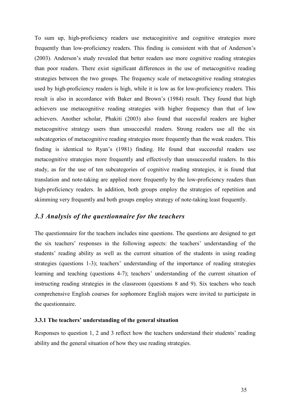<span id="page-37-0"></span>To sum up, high-proficiency readers use metacoginitive and cognitive strategies more frequently than low-proficiency readers. This finding is consistent with that of Anderson's (2003). Anderson's study revealed that better readers use more cognitive reading strategies than poor readers. There exist significant differences in the use of metacognitive reading strategies between the two groups. The frequency scale of metacognitive reading strategies used by high-proficiency readers is high, while it is low as for low-proficiency readers. This result is also in accordance with Baker and Brown's (1984) result. They found that high achievers use metacognitive reading strategies with higher frequency than that of low achievers. Another scholar, Phakiti (2003) also found that sucessful readers are higher metacognitive strategy users than unsuccesful readers. Strong readers use all the six subcategories of metacognitive reading strategies more frequently than the weak readers. This finding is identical to Ryan's (1981) finding. He found that successful readers use metacognitive strategies more frequently and effectively than unsuccessful readers. In this study, as for the use of ten subcategories of cognitive reading strategies, it is found that translation and note-taking are applied more frequently by the low-proficiency readers than high-proficiency readers. In addition, both groups employ the strategies of repetition and skimming very frequently and both groups employ strategy of note-taking least frequently.

## *3.3 Analysis of the questionnaire for the teachers*

The questionnaire for the teachers includes nine questions. The questions are designed to get the six teachers' responses in the following aspects: the teachers' understanding of the students' reading ability as well as the current situation of the students in using reading strategies (questions 1-3); teachers' understanding of the importance of reading strategies learning and teaching (questions 4-7); teachers' understanding of the current situation of instructing reading strategies in the classroom (questions 8 and 9). Six teachers who teach comprehensive English courses for sophomore English majors were invited to participate in the questionnaire.

## **3.3.1 The teachers' understanding of the general situation**

Responses to question 1, 2 and 3 reflect how the teachers understand their students' reading ability and the general situation of how they use reading strategies.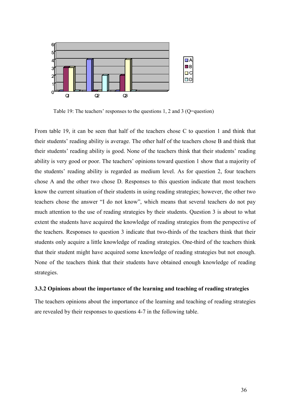<span id="page-38-0"></span>

Table 19: The teachers' responses to the questions 1, 2 and 3 (Q=question)

From table 19, it can be seen that half of the teachers chose C to question 1 and think that their students' reading ability is average. The other half of the teachers chose B and think that their students' reading ability is good. None of the teachers think that their students' reading ability is very good or poor. The teachers' opinions toward question 1 show that a majority of the students' reading ability is regarded as medium level. As for question 2, four teachers chose A and the other two chose D. Responses to this question indicate that most teachers know the current situation of their students in using reading strategies; however, the other two teachers chose the answer "I do not know", which means that several teachers do not pay much attention to the use of reading strategies by their students. Question 3 is about to what extent the students have acquired the knowledge of reading strategies from the perspective of the teachers. Responses to question 3 indicate that two-thirds of the teachers think that their students only acquire a little knowledge of reading strategies. One-third of the teachers think that their student might have acquired some knowledge of reading strategies but not enough. None of the teachers think that their students have obtained enough knowledge of reading strategies.

#### **3.3.2 Opinions about the importance of the learning and teaching of reading strategies**

The teachers opinions about the importance of the learning and teaching of reading strategies are revealed by their responses to questions 4-7 in the following table.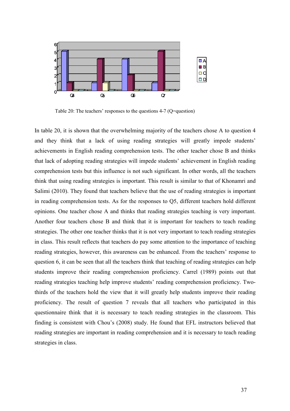

Table 20: The teachers' responses to the questions 4-7 (Q=question)

In table 20, it is shown that the overwhelming majority of the teachers chose A to question 4 and they think that a lack of using reading strategies will greatly impede students' achievements in English reading comprehension tests. The other teacher chose B and thinks that lack of adopting reading strategies will impede students' achievement in English reading comprehension tests but this influence is not such significant. In other words, all the teachers think that using reading strategies is important. This result is similar to that of Khonamri and Salimi (2010). They found that teachers believe that the use of reading strategies is important in reading comprehension tests. As for the responses to Q5, different teachers hold different opinions. One teacher chose A and thinks that reading strategies teaching is very important. Another four teachers chose B and think that it is important for teachers to teach reading strategies. The other one teacher thinks that it is not very important to teach reading strategies in class. This result reflects that teachers do pay some attention to the importance of teaching reading strategies, however, this awareness can be enhanced. From the teachers' response to question 6, it can be seen that all the teachers think that teaching of reading strategies can help students improve their reading comprehension proficiency. Carrel (1989) points out that reading strategies teaching help improve students' reading comprehension proficiency. Twothirds of the teachers hold the view that it will greatly help students improve their reading proficiency. The result of question 7 reveals that all teachers who participated in this questionnaire think that it is necessary to teach reading strategies in the classroom. This finding is consistent with Chou's (2008) study. He found that EFL instructors believed that reading strategies are important in reading comprehension and it is necessary to teach reading strategies in class.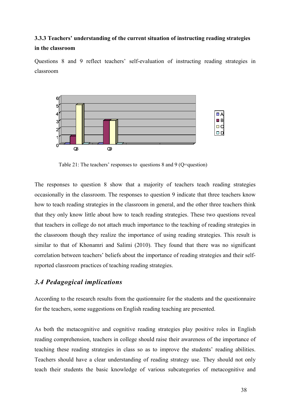## <span id="page-40-0"></span>**3.3.3 Teachers' understanding of the current situation of instructing reading strategies in the classroom**

Questions 8 and 9 reflect teachers' self-evaluation of instructing reading strategies in classroom



Table 21: The teachers' responses to questions 8 and 9 (Q=question)

The responses to question 8 show that a majority of teachers teach reading strategies occasionally in the classroom. The responses to question 9 indicate that three teachers know how to teach reading strategies in the classroom in general, and the other three teachers think that they only know little about how to teach reading strategies. These two questions reveal that teachers in college do not attach much importance to the teaching of reading strategies in the classroom though they realize the importance of using reading strategies. This result is similar to that of Khonamri and Salimi (2010). They found that there was no significant correlation between teachers' beliefs about the importance of reading strategies and their selfreported classroom practices of teaching reading strategies.

## *3.4 Pedagogical implications*

According to the research results from the qustionnaire for the students and the questionnaire for the teachers, some suggestions on English reading teaching are presented.

As both the metacognitive and cognitive reading strategies play positive roles in English reading comprehension, teachers in college should raise their awareness of the importance of teaching these reading strategies in class so as to improve the students' reading abilities. Teachers should have a clear understanding of reading strategy use. They should not only teach their students the basic knowledge of various subcategories of metacognitive and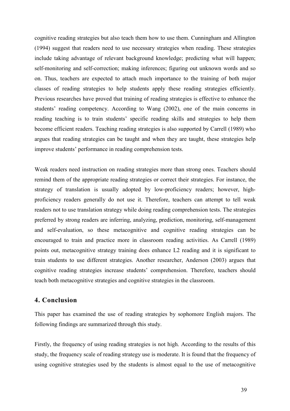<span id="page-41-0"></span>cognitive reading strategies but also teach them how to use them. Cunningham and Allington (1994) suggest that readers need to use necessary strategies when reading. These strategies include taking advantage of relevant background knowledge; predicting what will happen; self-monitoring and self-correction; making inferences; figuring out unknown words and so on. Thus, teachers are expected to attach much importance to the training of both major classes of reading strategies to help students apply these reading strategies efficiently. Previous researches have proved that training of reading strategies is effective to enhance the students' reading competency. According to Wang (2002), one of the main concerns in reading teaching is to train students' specific reading skills and strategies to help them become efficient readers. Teaching reading strategies is also supported by Carrell (1989) who argues that reading strategies can be taught and when they are taught, these strategies help improve students' performance in reading comprehension tests.

Weak readers need instruction on reading strategies more than strong ones. Teachers should remind them of the appropriate reading strategies or correct their strategies. For instance, the strategy of translation is usually adopted by low-proficiency readers; however, highproficiency readers generally do not use it. Therefore, teachers can attempt to tell weak readers not to use translation strategy while doing reading comprehension tests. The strategies preferred by strong readers are inferring, analyzing, prediction, monitoring, self-management and self-evaluation, so these metacognitive and cognitive reading strategies can be encouraged to train and practice more in classroom reading activities. As Carrell (1989) points out, metacognitive strategy training does enhance L2 reading and it is significant to train students to use different strategies. Another researcher, Anderson (2003) argues that cognitive reading strategies increase students' comprehension. Therefore, teachers should teach both metacognitive strategies and cognitive strategies in the classroom.

## **4. Conclusion**

This paper has examined the use of reading strategies by sophomore English majors. The following findings are summarized through this study.

Firstly, the frequency of using reading strategies is not high. According to the results of this study, the frequency scale of reading strategy use is moderate. It is found that the frequency of using cognitive strategies used by the students is almost equal to the use of metacognitive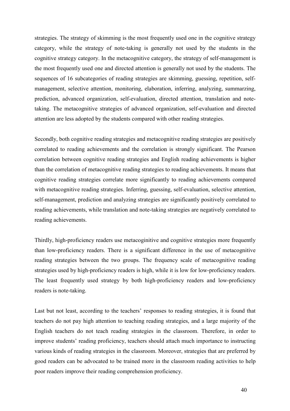strategies. The strategy of skimming is the most frequently used one in the cognitive strategy category, while the strategy of note-taking is generally not used by the students in the cognitive strategy category. In the metacognitive category, the strategy of self-management is the most frequently used one and directed attention is generally not used by the students. The sequences of 16 subcategories of reading strategies are skimming, guessing, repetition, selfmanagement, selective attention, monitoring, elaboration, inferring, analyzing, summarzing, prediction, advanced organization, self-evaluation, directed attention, translation and notetaking. The metacognitive strategies of advanced organization, self-evaluation and directed attention are less adopted by the students compared with other reading strategies.

Secondly, both cognitive reading strategies and metacognitive reading strategies are positively correlated to reading achievements and the correlation is strongly significant. The Pearson correlation between cognitive reading strategies and English reading achievements is higher than the correlation of metacognitive reading strategies to reading achievements. It means that cognitive reading strategies correlate more significantly to reading achievements compared with metacognitive reading strategies. Inferring, guessing, self-evaluation, selective attention, self-management, prediction and analyzing strategies are significantly positively correlated to reading achievements, while translation and note-taking strategies are negatively correlated to reading achievements.

Thirdly, high-proficiency readers use metacoginitive and cognitive strategies more frequently than low-proficiency readers. There is a significant difference in the use of metacognitive reading strategies between the two groups. The frequency scale of metacognitive reading strategies used by high-proficiency readers is high, while it is low for low-proficiency readers. The least frequently used strategy by both high-proficiency readers and low-proficiency readers is note-taking.

Last but not least, according to the teachers' responses to reading strategies, it is found that teachers do not pay high attention to teaching reading strategies, and a large majority of the English teachers do not teach reading strategies in the classroom. Therefore, in order to improve students' reading proficiency, teachers should attach much importance to instructing various kinds of reading strategies in the classroom. Moreover, strategies that are preferred by good readers can be advocated to be trained more in the classroom reading activities to help poor readers improve their reading comprehension proficiency.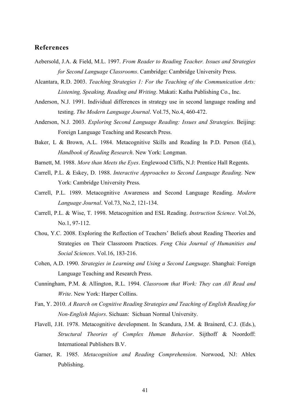## <span id="page-43-0"></span>**References**

- Aebersold, J.A. & Field, M.L. 1997. *From Reader to Reading Teacher. Issues and Strategies for Second Language Classrooms*. Cambridge: Cambridge University Press.
- Alcantara, R.D. 2003. *Teaching Strategies 1: For the Teaching of the Communication Arts: Listening, Speaking, Reading and Writing*. Makati: Katha Publishing Co., Inc.
- Anderson, N.J. 1991. Individual differences in strategy use in second language reading and testing. *The Modern Language Journal*. Vol.75, No.4, 460-472.
- Anderson, N.J. 2003. *Exploring Second Language Reading: Issues and Strategies*. Beijing: Foreign Language Teaching and Research Press.
- Baker, L & Brown, A.L. 1984. Metacognitive Skills and Reading In P.D. Person (Ed.), *Handbook of Reading Research*. New York: Longman.
- Barnett, M. 1988. *More than Meets the Eyes*. Englewood Cliffs, N.J: Prentice Hall Regents.
- Carrell, P.L. & Eskey, D. 1988. *Interactive Approaches to Second Language Reading*. New York: Cambridge University Press.
- Carrell, P.L. 1989. Metacognitive Awareness and Second Language Reading. *Modern Language Journal*. Vol.73, No.2, 121-134.
- Carrell, P.L. & Wise, T. 1998. Metacognition and ESL Reading. *Instruction Science.* Vol.26, No.1, 97-112.
- Chou, Y.C. 2008. Exploring the Reflection of Teachers' Beliefs about Reading Theories and Strategies on Their Classroom Practices. *Feng Chia Journal of Humanities and Social Sciences*. Vol.16, 183-216.
- Cohen, A.D. 1990. *Strategies in Learning and Using a Second Language*. Shanghai: Foreign Language Teaching and Research Press.
- Cunningham, P.M. & Allington, R.L. 1994. *Classroom that Work: They can All Read and Write*. New York: Harper Collins.
- Fan, Y. 2010. *A Rearch on Cognitive Reading Strategies and Teaching of English Reading for Non-English Majors*. Sichuan: Sichuan Normal University.
- Flavell, J.H. 1978. Metacognitive development. In Scandura, J.M. & Brainerd, C.J. (Eds.), *Structural Theories of Complex Human Behavior*. Sijthoff & Noordoff: International Publishers B.V.
- Garner, R. 1985. *Metacognition and Reading Comprehension*. Norwood, NJ: Ablex Publishing.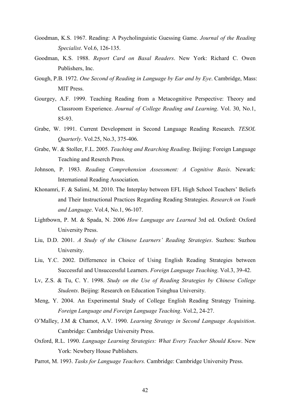- Goodman, K.S. 1967. Reading: A Psycholinguistic Guessing Game. *Journal of the Reading Specialist*. Vol.6, 126-135.
- Goodman, K.S. 1988. *Report Card on Basal Readers*. New York: Richard C. Owen Publishers, Inc.
- Gough, P.B. 1972. *One Second of Reading in Language by Ear and by Eye*. Cambridge, Mass: MIT Press.
- Gourgey, A.F. 1999. Teaching Reading from a Metacognitive Perspective: Theory and Classroom Experience. *Journal of College Reading and Learning*. Vol. 30, No.1, 85-93.
- Grabe, W. 1991. Current Development in Second Language Reading Research. *TESOL Quarterly*. Vol.25, No.3, 375-406.
- Grabe, W. & Stoller, F.L. 2005. *Teaching and Rearching Reading*. Beijing: Foreign Language Teaching and Reserch Press.
- Johnson, P. 1983. *Reading Comprehension Assessment: A Cognitive Basis*. Newark: International Reading Association.
- Khonamri, F. & Salimi, M. 2010. The Interplay between EFL High School Teachers' Beliefs and Their Instructional Practices Regarding Reading Strategies. *Research on Youth and Language*. Vol.4, No.1, 96-107.
- Lightbown, P. M. & Spada, N. 2006 *How Language are Learned* 3rd ed. Oxford: Oxford University Press.
- Liu, D.D. 2001. *A Study of the Chinese Learners' Reading Strategies*. Suzhou: Suzhou University.
- Liu, Y.C. 2002. Differnence in Choice of Using English Reading Strategies between Successful and Unsuccessful Learners. *Foreign Language Teaching*. Vol.3, 39-42.
- Lv, Z.S. & Tu, C. Y. 1998. *Study on the Use of Reading Strategies by Chinese College Students*. Beijing: Research on Education Tsinghua University.
- Meng, Y. 2004. An Experimental Study of College English Reading Strategy Training. *Foreign Language and Foreign Language Teaching*. Vol.2, 24-27.
- O'Malley, J.M & Chamot, A.V. 1990. *Learning Strategy in Second Language Acquisition*. Cambridge: Cambridge University Press.
- Oxford, R.L. 1990. *Language Learning Strategies: What Every Teacher Should Know*. New York: Newbery House Publishers.
- Parrot, M. 1993. *Tasks for Language Teachers.* Cambridge: Cambridge University Press.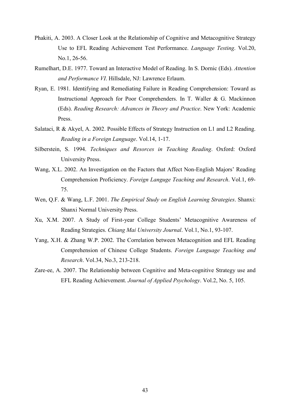- Phakiti, A. 2003. A Closer Look at the Relationship of Cognitive and Metacognitive Strategy Use to EFL Reading Achievement Test Performance. *Language Testing*. Vol.20, No.1, 26-56.
- Rumelhart, D.E. 1977. Toward an Interactive Model of Reading. In S. Dornic (Eds). *Attention and Performance VI*. Hillsdale, NJ: Lawrence Erlaum.
- Ryan, E. 1981. Identifying and Remediating Failure in Reading Comprehension: Toward as Instructional Approach for Poor Comprehenders. In T. Waller & G. Mackinnon (Eds). *Reading Research: Advances in Theory and Practice*. New York: Academic Press.
- Salataci, R & Akyel, A. 2002. Possible Effects of Strategy Instruction on L1 and L2 Reading. *Reading in a Foreign Language*. Vol.14, 1-17.
- Silberstein, S. 1994. *Techniques and Resorces in Teaching Reading*. Oxford: Oxford University Press.
- Wang, X.L. 2002. An Investigation on the Factors that Affect Non-English Majors' Reading Comprehension Proficiency. *Foreign Languge Teaching and Research*. Vol.1, 69- 75.
- Wen, Q.F. & Wang, L.F. 2001. *The Empirical Study on English Learning Strategies*. Shanxi: Shanxi Normal University Press.
- Xu, X.M. 2007. A Study of First-year College Students' Metacognitive Awareness of Reading Strategies. *Chiang Mai University Journal*. Vol.1, No.1, 93-107.
- Yang, X.H. & Zhang W.P. 2002. The Correlation between Metacognition and EFL Reading Comprehension of Chinese College Students. *Foreign Language Teaching and Research*. Vol.34, No.3, 213-218.
- Zare-ee, A. 2007. The Relationship between Cognitive and Meta-cognitive Strategy use and EFL Reading Achievement. *Journal of Applied Psychology*. Vol.2, No. 5, 105.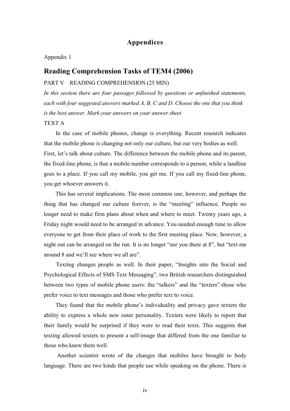## **Appendices**

#### <span id="page-46-0"></span>Appendix 1

## **Reading Comprehension Tasks of TEM4 (2006)**

## PART V READING COMPREHENSION (25 MIN)

*In this section there are four passages followed by questions or unfinished statements, each with four suggested answers marked A, B, C and D. Choose the one that you think is the best answer. Mark your answers on your answer sheet.* 

#### TEXT A

 In the case of mobile phones, change is everything. Recent research indicates that the mobile phone is changing not only our culture, but our very bodies as well. First, let's talk about culture. The difference between the mobile phone and its parent, the fixed-line phone, is that a mobile number corresponds to a person, while a landline goes to a place. If you call my mobile, you get me. If you call my fixed-line phone, you get whoever answers it.

 This has several implications. The most common one, however, and perhaps the thing that has changed our culture forever, is the "meeting" influence. People no longer need to make firm plans about when and where to meet. Twenty years ago, a Friday night would need to be arranged in advance. You needed enough time to allow everyone to get from their place of work to the first meeting place. Now, however, a night out can be arranged on the run. It is no longer "see you there at 8", but "text me around 8 and we'll see where we all are".

 Texting changes people as well. In their paper, "Insights into the Social and Psychological Effects of SMS Text Messaging", two British researchers distinguished between two types of mobile phone users: the "talkers" and the "texters"-those who prefer voice to text messages and those who prefer text to voice.

 They found that the mobile phone's individuality and privacy gave texters the ability to express a whole new outer personality. Texters were likely to report that their family would be surprised if they were to read their texts. This suggests that texting allowed texters to present a self-image that differed from the one familiar to those who knew them well.

 Another scientist wrote of the changes that mobiles have brought to body language. There are two kinds that people use while speaking on the phone. There is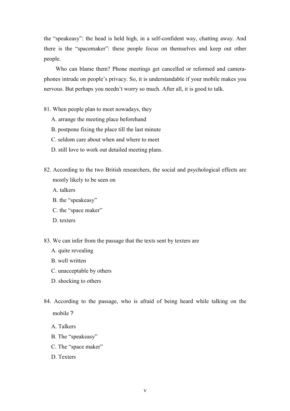the "speakeasy": the head is held high, in a self-confident way, chatting away. And there is the "spacemaker": these people focus on themselves and keep out other people.

 Who can blame them? Phone meetings get cancelled or reformed and cameraphones intrude on people's privacy. So, it is understandable if your mobile makes you nervous. But perhaps you needn't worry so much. After all, it is good to talk.

- 81. When people plan to meet nowadays, they
	- A. arrange the meeting place beforehand
	- B. postpone fixing the place till the last minute
	- C. seldom care about when and where to meet
	- D. still love to work out detailed meeting plans.
- 82. According to the two British researchers, the social and psychological effects are mostly likely to be seen on
	- A. talkers
	- B. the "speakeasy"
	- C. the "space maker"
	- D. texters
- 83. We can infer from the passage that the texts sent by texters are
	- A. quite revealing
	- B. well written
	- C. unacceptable by others
	- D. shocking to others
- 84. According to the passage, who is afraid of being heard while talking on the mobile?
	- A. Talkers
	- B. The "speakeasy"
	- C. The "space maker"
	- D. Texters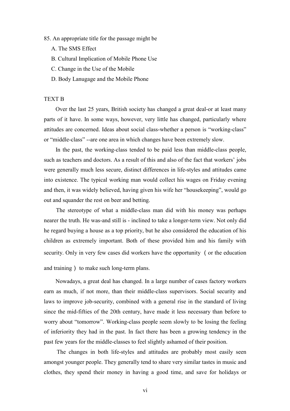- 85. An appropriate title for the passage might be
	- A. The SMS Effect
	- B. Cultural Implication of Mobile Phone Use
	- C. Change in the Use of the Mobile
	- D. Body Lanugage and the Mobile Phone

## TEXT B

 Over the last 25 years, British society has changed a great deal-or at least many parts of it have. In some ways, however, very little has changed, particularly where attitudes are concerned. Ideas about social class-whether a person is "working-class" or "middle-class" --are one area in which changes have been extremely slow.

 In the past, the working-class tended to be paid less than middle-class people, such as teachers and doctors. As a result of this and also of the fact that workers' jobs were generally much less secure, distinct differences in life-styles and attitudes came into existence. The typical working man would collect his wages on Friday evening and then, it was widely believed, having given his wife her "housekeeping", would go out and squander the rest on beer and betting.

 The stereotype of what a middle-class man did with his money was perhaps nearer the truth. He was-and still is - inclined to take a longer-term view. Not only did he regard buying a house as a top priority, but he also considered the education of his children as extremely important. Both of these provided him and his family with security. Only in very few cases did workers have the opportunity (or the education

and training ) to make such long-term plans.

 Nowadays, a great deal has changed. In a large number of cases factory workers earn as much, if not more, than their middle-class supervisors. Social security and laws to improve job-security, combined with a general rise in the standard of living since the mid-fifties of the 20th century, have made it less necessary than before to worry about "tomorrow". Working-class people seem slowly to be losing the feeling of inferiority they had in the past. In fact there has been a growing tendency in the past few years for the middle-classes to feel slightly ashamed of their position.

 The changes in both life-styles and attitudes are probably most easily seen amongst younger people. They generally tend to share very similar tastes in music and clothes, they spend their money in having a good time, and save for holidays or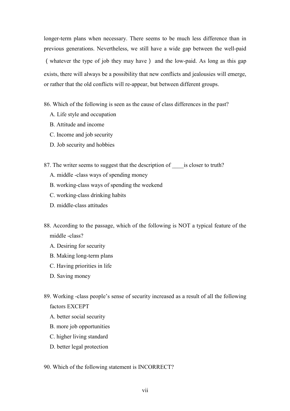longer-term plans when necessary. There seems to be much less difference than in previous generations. Nevertheless, we still have a wide gap between the well-paid (whatever the type of job they may have) and the low-paid. As long as this gap exists, there will always be a possibility that new conflicts and jealousies will emerge, or rather that the old conflicts will re-appear, but between different groups.

86. Which of the following is seen as the cause of class differences in the past?

- A. Life style and occupation
- B. Attitude and income
- C. Income and job security
- D. Job security and hobbies

87. The writer seems to suggest that the description of is closer to truth?

- A. middle -class ways of spending money
- B. working-class ways of spending the weekend
- C. working-class drinking habits
- D. middle-class attitudes
- 88. According to the passage, which of the following is NOT a typical feature of the middle -class?
	- A. Desiring for security
	- B. Making long-term plans
	- C. Having priorities in life
	- D. Saving money
- 89. Working -class people's sense of security increased as a result of all the following factors EXCEPT
	- A. better social security
	- B. more job opportunities
	- C. higher living standard
	- D. better legal protection
- 90. Which of the following statement is INCORRECT?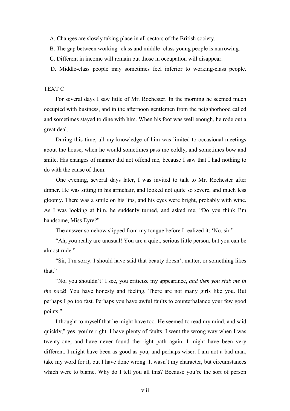A. Changes are slowly taking place in all sectors of the British society.

B. The gap between working -class and middle- class young people is narrowing.

C. Different in income will remain but those in occupation will disappear.

D. Middle-class people may sometimes feel inferior to working-class people.

#### TEXT C

 For several days I saw little of Mr. Rochester. In the morning he seemed much occupied with business, and in the afternoon gentlemen from the neighborhood called and sometimes stayed to dine with him. When his foot was well enough, he rode out a great deal.

 During this time, all my knowledge of him was limited to occasional meetings about the house, when he would sometimes pass me coldly, and sometimes bow and smile. His changes of manner did not offend me, because I saw that I had nothing to do with the cause of them.

 One evening, several days later, I was invited to talk to Mr. Rochester after dinner. He was sitting in his armchair, and looked not quite so severe, and much less gloomy. There was a smile on his lips, and his eyes were bright, probably with wine. As I was looking at him, he suddenly turned, and asked me, "Do you think I'm handsome, Miss Eyre?"

The answer somehow slipped from my tongue before I realized it: 'No, sir."

 "Ah, you really are unusual! You are a quiet, serious little person, but you can be almost rude."

 "Sir, I'm sorry. I should have said that beauty doesn't matter, or something likes that"

 "No, you shouldn't! I see, you criticize my appearance, *and then you stab me in the back*! You have honesty and feeling. There are not many girls like you. But perhaps I go too fast. Perhaps you have awful faults to counterbalance your few good points."

 I thought to myself that he might have too. He seemed to read my mind, and said quickly," yes, you're right. I have plenty of faults. I went the wrong way when I was twenty-one, and have never found the right path again. I might have been very different. I might have been as good as you, and perhaps wiser. I am not a bad man, take my word for it, but I have done wrong. It wasn't my character, but circumstances which were to blame. Why do I tell you all this? Because you're the sort of person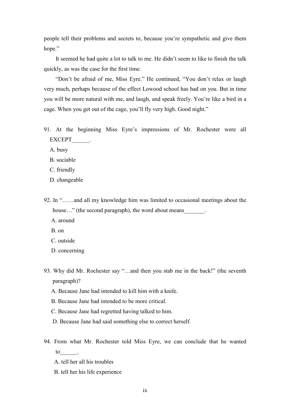people tell their problems and secrets to, because you're sympathetic and give them hope."

 It seemed he had quite a lot to talk to me. He didn't seem to like to finish the talk quickly, as was the case for the first time.

 "Don't be afraid of me, Miss Eyre." He continued, "You don't relax or laugh very much, perhaps because of the effect Lowood school has had on you. But in time you will be more natural with me, and laugh, and speak freely. You're like a bird in a cage. When you get out of the cage, you'll fly very high. Good night."

- 91. At the beginning Miss Eyre's impressions of Mr. Rochester were all EXCEPT\_\_\_\_\_\_\_.
	- A. busy
	- B. sociable
	- C. friendly
	- D. changeable
- 92. In "……and all my knowledge him was limited to occasional meetings about the house..." (the second paragraph), the word about means
	- A. around
	- B. on
	- C. outside
	- D. concerning
- 93. Why did Mr. Rochester say "…and then you stab me in the back!" (the seventh paragraph)?
	- A. Because Jane had intended to kill him with a knife.
	- B. Because Jane had intended to be more critical.
	- C. Because Jane had regretted having talked to him.
	- D. Because Jane had said something else to correct herself.
- 94. From what Mr. Rochester told Miss Eyre, we can conclude that he wanted to to.
	- A. tell her all his troubles
	- B. tell her his life experience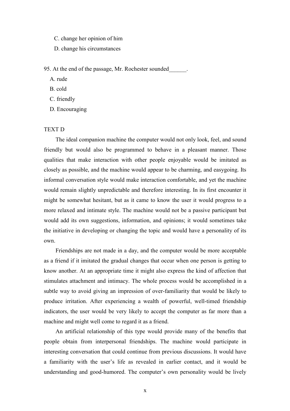- C. change her opinion of him
- D. change his circumstances

95. At the end of the passage, Mr. Rochester sounded\_\_\_\_\_\_.

- A. rude
- B. cold
- C. friendly
- D. Encouraging

#### TEXT D

 The ideal companion machine the computer would not only look, feel, and sound friendly but would also be programmed to behave in a pleasant manner. Those qualities that make interaction with other people enjoyable would be imitated as closely as possible, and the machine would appear to be charming, and easygoing. Its informal conversation style would make interaction comfortable, and yet the machine would remain slightly unpredictable and therefore interesting. In its first encounter it might be somewhat hesitant, but as it came to know the user it would progress to a more relaxed and intimate style. The machine would not be a passive participant but would add its own suggestions, information, and opinions; it would sometimes take the initiative in developing or changing the topic and would have a personality of its own.

 Friendships are not made in a day, and the computer would be more acceptable as a friend if it imitated the gradual changes that occur when one person is getting to know another. At an appropriate time it might also express the kind of affection that stimulates attachment and intimacy. The whole process would be accomplished in a subtle way to avoid giving an impression of over-familiarity that would be likely to produce irritation. After experiencing a wealth of powerful, well-timed friendship indicators, the user would be very likely to accept the computer as far more than a machine and might well come to regard it as a friend.

 An artificial relationship of this type would provide many of the benefits that people obtain from interpersonal friendships. The machine would participate in interesting conversation that could continue from previous discussions. It would have a familiarity with the user's life as revealed in earlier contact, and it would be understanding and good-humored. The computer's own personality would be lively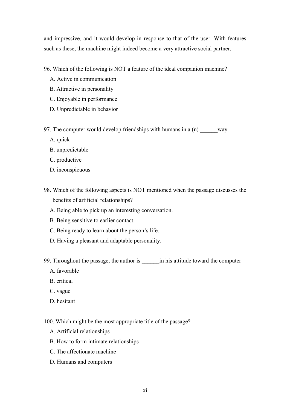and impressive, and it would develop in response to that of the user. With features such as these, the machine might indeed become a very attractive social partner.

96. Which of the following is NOT a feature of the ideal companion machine?

- A. Active in communication
- B. Attractive in personality
- C. Enjoyable in performance
- D. Unpredictable in behavior

97. The computer would develop friendships with humans in a (n) way.

- A. quick
- B. unpredictable
- C. productive
- D. inconspicuous
- 98. Which of the following aspects is NOT mentioned when the passage discusses the benefits of artificial relationships?
	- A. Being able to pick up an interesting conversation.
	- B. Being sensitive to earlier contact.
	- C. Being ready to learn about the person's life.
	- D. Having a pleasant and adaptable personality.

99. Throughout the passage, the author is \_\_\_\_\_\_in his attitude toward the computer

- A. favorable
- B. critical
- C. vague
- D. hesitant

100. Which might be the most appropriate title of the passage?

- A. Artificial relationships
- B. How to form intimate relationships
- C. The affectionate machine
- D. Humans and computers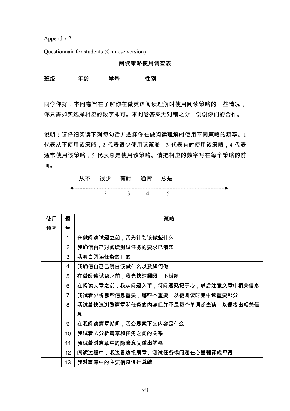<span id="page-54-0"></span>Appendix 2

Questionnair for students (Chinese version)

阅读策略使用调查表

班级 年龄 学号 性别

同学你好,本问卷旨在了解你在做英语阅读理解时使用阅读策略的一些情况, 你只需如实选择相应的数字即可。本问卷答案无对错之分,谢谢你们的合作。

说明:请仔细阅读下列每句话并选择你在做阅读理解时使用不同策略的频率。1 代表从不使用该策略,2 代表很少使用该策略,3 代表有时使用该策略,4 代表 通常使用该策略, 5 代表总是使用该策略。请把相应的数字写在每个策略的前 面。

|  |  | 田上 | n e |  |
|--|--|----|-----|--|
|  |  |    |     |  |

| 使用 | 题               | 策略                                 |
|----|-----------------|------------------------------------|
| 频率 | 号               |                                    |
|    | 1               | 在做阅读试题之前,我先计划该做些什么                 |
|    | $\overline{2}$  | 我确信自己对阅读测试任务的要求已清楚                 |
|    | 3               | 我明白阅读任务的目的                         |
|    | 4               | 我确信自己已明白该做什么以及如何做                  |
|    | 5               | 在做阅读试题之前,我先快速翻阅一下试题                |
|    | 6               | 在阅读文章之前,我从问题入手,将问题熟记于心,然后注意文章中相关信息 |
|    | 7               | 我试着分析哪些信息重要,哪些不重要,以便阅读时集中读重要部分     |
|    | 8.              | 我试着快速浏览篇章和任务的内容但并不是每个单词都去读,以便找出相关信 |
|    |                 | 息                                  |
|    | 9               | 在我阅读篇章期间,我会思索下文内容是什么               |
|    | 10              | 我试着去分析篇章和任务之间的关系                   |
|    | 11              | 我试着对篇章中的隐含意义做出解释                   |
|    | 12 <sup>2</sup> | 阅读过程中,我边看边把篇章、测试任务或问题在心里翻译成母语      |
|    | 13              | 我对篇章中的主要信息进行总结                     |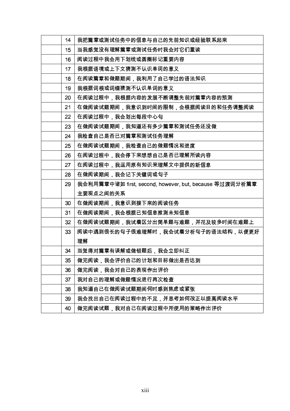| 14              | 我把篇章或测试任务中的信息与自己的先前知识或经验联系起来                            |
|-----------------|---------------------------------------------------------|
| 15 <sub>1</sub> | 当我感觉没有理解篇章或测试任务时我会对它们重读                                 |
| 16              | 阅读过程中我会用下划线或圆圈标记重要内容                                    |
| 17              | 我根据语境或上下文猜测不认识单词的意义                                     |
| 18              | 在阅读篇章和做题期间,我利用了自己学过的语法知识                                |
| 19              | 我根据词根或词缀猜测不认识单词的意义                                      |
| 20              | 在阅读过程中,我根据内容的发展不断调整先前对篇章内容的预测                           |
| 21              | 在做阅读试题期间,我意识到时间的限制,会根据阅读目的和任务调整阅读                       |
| 22              | 在阅读过程中,我会划出每段中心句                                        |
| 23              | 在做阅读试题期间,我知道还有多少篇章和测试任务还没做                              |
| 24              | 我检查自己是否已对篇章和测试任务理解                                      |
| 25              | 在做阅读试题期间,我检查自己的做题情况和进度                                  |
| 26              | 在阅读过程中,我会停下来想想自己是否已理解所读内容                               |
| 27              | 在阅读过程中,我运用原有知识来理解文中提供的新信息                               |
| 28              | 在做阅读期间,我会记下关键词或句子                                       |
| 29              | 我会利用篇章中诸如 first, second, however, but, because 等过渡词分析篇章 |
|                 | 主要观点之间的关系                                               |
| 30              | 在做阅读期间,我意识到接下来的阅读任务                                     |
| 31              | 在做阅读期间,我会根据已知信息推测未知信息                                   |
| 32 <sub>2</sub> | 在做阅读试题期间,我试着区分出简单题与难题,并花及较多时间在难题上                       |
| 33              | 阅读中遇到很长的句子很难理解时,我会试着分析句子的语法结构,以便更好                      |
|                 | 理解                                                      |
| 34              | 当觉得对篇章有误解或做错题后,我会立即纠正                                   |
| 35              | 做完阅读,我会评价自己的计划和目标做出是否达到                                 |
| 36              | 做完阅读,我会对自己的表现作出评价                                       |
| 37              | 我对自己的理解或做题情况进行再次检查                                      |
| 38              | 我知道自己在做阅读试题期间何时感到焦虑或紧张                                  |
| 39              | 我会找出自己在阅读过程中的不足,并思考如何改正以提高阅读水平                          |
| 40              | 做完阅读试题,我对自己在阅读过程中所使用的策略作出评价                             |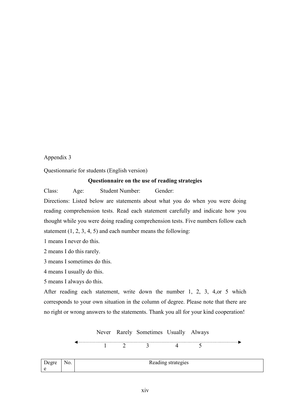## <span id="page-56-0"></span>Appendix 3

Questionnarie for students (English version)

## **Questionnaire on the use of reading strategies**

Class: Age: Student Number: Gender:

Directions: Listed below are statements about what you do when you were doing reading comprehension tests. Read each statement carefully and indicate how you thought while you were doing reading comprehension tests. Five numbers follow each statement  $(1, 2, 3, 4, 5)$  and each number means the following:

1 means I never do this.

2 means I do this rarely.

3 means I sometimes do this.

4 means I usually do this.

5 means I always do this.

After reading each statement, write down the number 1, 2, 3, 4,or 5 which corresponds to your own situation in the column of degree. Please note that there are no right or wrong answers to the statements. Thank you all for your kind cooperation!

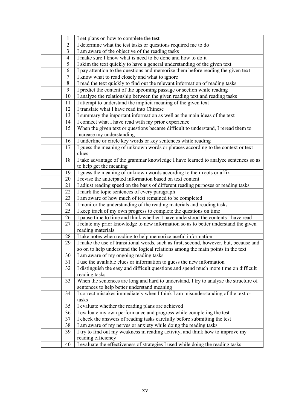| 1              | I set plans on how to complete the test                                                |
|----------------|----------------------------------------------------------------------------------------|
| 2              | I determine what the test tasks or questions required me to do                         |
| 3              | I am aware of the objective of the reading tasks                                       |
| $\overline{4}$ | I make sure I know what is need to be done and how to do it                            |
| 5              | I skim the text quickly to have a general understanding of the given text              |
| 6              | I pay attention to the questions and memorize them before reading the given text       |
| 7              | I know what to read closely and what to ignore                                         |
| 8              | I read the text quickly to find out the relevant information of reading tasks          |
| 9              | I predict the content of the upcoming passage or section while reading                 |
| 10             | I analyze the relationship between the given reading text and reading tasks            |
| 11             | I attempt to understand the implicit meaning of the given text                         |
| 12             | I translate what I have read into Chinese                                              |
| 13             | I summary the important information as well as the main ideas of the text              |
| 14             | I connect what I have read with my prior experience                                    |
| 15             | When the given text or questions became difficult to understand, I reread them to      |
|                | increase my understanding                                                              |
| 16             | I underline or circle key words or key sentences while reading                         |
| 17             | I guess the meaning of unknown words or phrases according to the context or text       |
|                | clues                                                                                  |
| 18             | I take advantage of the grammar knowledge I have learned to analyze sentences so as    |
|                | to help get the meaning                                                                |
| 19             | I guess the meaning of unknown words according to their roots or affix                 |
| 20             | I revise the anticipated information based on text content                             |
| 21             | I adjust reading speed on the basis of different reading purposes or reading tasks     |
| 22             | I mark the topic sentences of every paragraph                                          |
| 23             | am aware of how much of test remained to be completed                                  |
| 24             | I monitor the understanding of the reading materials and reading tasks                 |
| 25             | I keep track of my own progress to complete the questions on time                      |
| 26             | I pause time to time and think whether I have understood the contents I have read      |
| 27             | I relate my prior knowledge to new information so as to better understand the given    |
|                | reading materials                                                                      |
| 28             | I take notes when reading to help memorize useful information                          |
| 29             | I make the use of transitional words, such as first, second, however, but, because and |
|                | so on to help understand the logical relations among the main points in the text       |
| 30             | I am aware of my ongoing reading tasks                                                 |
| 31             | I use the available clues or information to guess the new information                  |
| 32             | I distinguish the easy and difficult questions and spend much more time on difficult   |
|                | reading tasks                                                                          |
| 33             | When the sentences are long and hard to understand, I try to analyze the structure of  |
|                | sentences to help better understand meaning                                            |
| 34             | I correct mistakes immediately when I think I am misunderstanding of the text or       |
|                | tasks                                                                                  |
| 35             | I evaluate whether the reading plans are achieved                                      |
| 36             | I evaluate my own performance and progress while completing the test                   |
| 37             | I check the answers of reading tasks carefully before submitting the test              |
| 38             | I am aware of my nerves or anxiety while doing the reading tasks                       |
| 39             | I try to find out my weakness in reading activity, and think how to improve my         |
|                | reading efficiency                                                                     |
| 40             | I evaluate the effectiveness of strategies I used while doing the reading tasks        |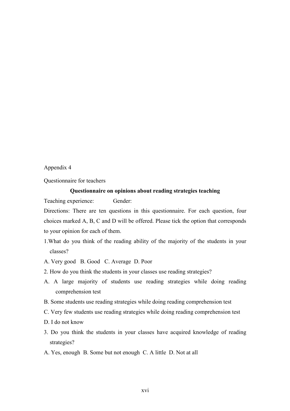#### <span id="page-58-0"></span>Appendix 4

Questionnaire for teachers

#### **Questionnaire on opinions about reading strategies teaching**

Teaching experience: Gender:

Directions: There are ten questions in this questionnaire. For each question, four choices marked A, B, C and D will be offered. Please tick the option that corresponds to your opinion for each of them.

- 1.What do you think of the reading ability of the majority of the students in your classes?
- A. Very good B. Good C. Average D. Poor
- 2. How do you think the students in your classes use reading strategies?
- A. A large majority of students use reading strategies while doing reading comprehension test
- B. Some students use reading strategies while doing reading comprehension test
- C. Very few students use reading strategies while doing reading comprehension test
- D. I do not know
- 3. Do you think the students in your classes have acquired knowledge of reading strategies?
- A. Yes, enough B. Some but not enough C. A little D. Not at all